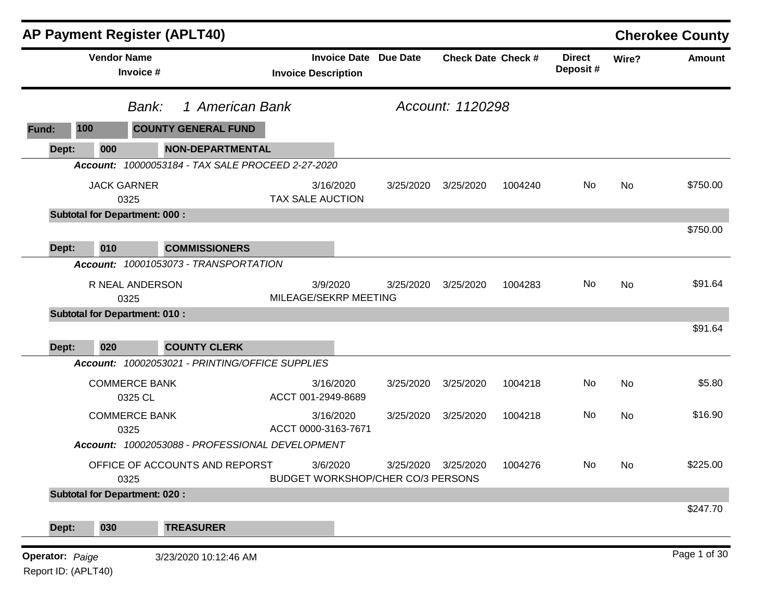|                        |                            | <b>AP Payment Register (APLT40)</b>               |                                                            |           |                           |         |                           |           | <b>Cherokee County</b> |
|------------------------|----------------------------|---------------------------------------------------|------------------------------------------------------------|-----------|---------------------------|---------|---------------------------|-----------|------------------------|
|                        | <b>Vendor Name</b>         | Invoice #                                         | <b>Invoice Date Due Date</b><br><b>Invoice Description</b> |           | <b>Check Date Check #</b> |         | <b>Direct</b><br>Deposit# | Wire?     | <b>Amount</b>          |
|                        |                            | 1 American Bank<br>Bank:                          |                                                            |           | Account: 1120298          |         |                           |           |                        |
| 100<br>Fund:           |                            | <b>COUNTY GENERAL FUND</b>                        |                                                            |           |                           |         |                           |           |                        |
| Dept:                  | 000                        | <b>NON-DEPARTMENTAL</b>                           |                                                            |           |                           |         |                           |           |                        |
|                        |                            | Account: 10000053184 - TAX SALE PROCEED 2-27-2020 |                                                            |           |                           |         |                           |           |                        |
|                        | <b>JACK GARNER</b><br>0325 |                                                   | 3/16/2020<br>TAX SALE AUCTION                              | 3/25/2020 | 3/25/2020                 | 1004240 | No                        | <b>No</b> | \$750.00               |
|                        |                            | <b>Subtotal for Department: 000:</b>              |                                                            |           |                           |         |                           |           |                        |
| Dept:                  | 010                        | <b>COMMISSIONERS</b>                              |                                                            |           |                           |         |                           |           | \$750.00               |
|                        |                            | Account: 10001053073 - TRANSPORTATION             |                                                            |           |                           |         |                           |           |                        |
|                        | 0325                       | R NEAL ANDERSON                                   | 3/9/2020<br>MILEAGE/SEKRP MEETING                          | 3/25/2020 | 3/25/2020                 | 1004283 | No                        | <b>No</b> | \$91.64                |
|                        |                            | <b>Subtotal for Department: 010:</b>              |                                                            |           |                           |         |                           |           |                        |
|                        |                            |                                                   |                                                            |           |                           |         |                           |           | \$91.64                |
| Dept:                  | 020                        | <b>COUNTY CLERK</b>                               |                                                            |           |                           |         |                           |           |                        |
|                        |                            | Account: 10002053021 - PRINTING/OFFICE SUPPLIES   |                                                            |           |                           |         |                           |           |                        |
|                        |                            | <b>COMMERCE BANK</b><br>0325 CL                   | 3/16/2020<br>ACCT 001-2949-8689                            | 3/25/2020 | 3/25/2020                 | 1004218 | No                        | No        | \$5.80                 |
|                        | 0325                       | <b>COMMERCE BANK</b>                              | 3/16/2020<br>ACCT 0000-3163-7671                           | 3/25/2020 | 3/25/2020                 | 1004218 | No                        | No        | \$16.90                |
|                        |                            | Account: 10002053088 - PROFESSIONAL DEVELOPMENT   |                                                            |           |                           |         |                           |           |                        |
|                        | 0325                       | OFFICE OF ACCOUNTS AND REPORST                    | 3/6/2020<br>BUDGET WORKSHOP/CHER CO/3 PERSONS              | 3/25/2020 | 3/25/2020                 | 1004276 | No                        | No.       | \$225.00               |
|                        |                            | <b>Subtotal for Department: 020:</b>              |                                                            |           |                           |         |                           |           |                        |
| Dept:                  | 030                        | <b>TREASURER</b>                                  |                                                            |           |                           |         |                           |           | \$247.70               |
| <b>Operator: Paige</b> |                            | 3/23/2020 10:12:46 AM                             |                                                            |           |                           |         |                           |           | Page 1 of 30           |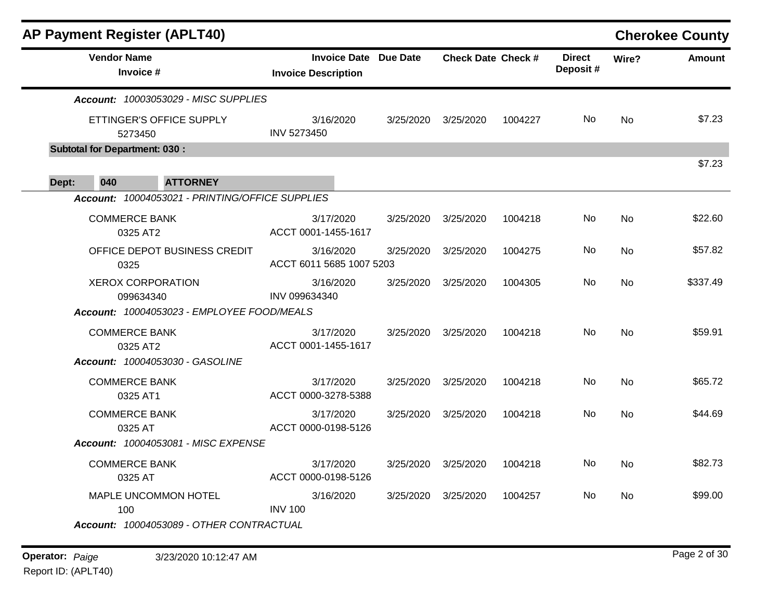| <b>AP Payment Register (APLT40)</b>             |                                                            |                                                    |                                                        |         |     |           | <b>Cherokee County</b> |
|-------------------------------------------------|------------------------------------------------------------|----------------------------------------------------|--------------------------------------------------------|---------|-----|-----------|------------------------|
| <b>Vendor Name</b><br>Invoice #                 | <b>Invoice Date Due Date</b><br><b>Invoice Description</b> |                                                    | <b>Direct</b><br><b>Check Date Check #</b><br>Deposit# |         |     | Wire?     | <b>Amount</b>          |
| Account: 10003053029 - MISC SUPPLIES            |                                                            |                                                    |                                                        |         |     |           |                        |
| ETTINGER'S OFFICE SUPPLY<br>5273450             | 3/16/2020<br>INV 5273450                                   | 3/25/2020                                          | 3/25/2020                                              | 1004227 | No. | No        | \$7.23                 |
| <b>Subtotal for Department: 030:</b>            |                                                            |                                                    |                                                        |         |     |           | \$7.23                 |
| 040<br>Dept:<br><b>ATTORNEY</b>                 |                                                            |                                                    |                                                        |         |     |           |                        |
| Account: 10004053021 - PRINTING/OFFICE SUPPLIES |                                                            |                                                    |                                                        |         |     |           |                        |
| <b>COMMERCE BANK</b><br>0325 AT2                | 3/17/2020<br>ACCT 0001-1455-1617                           | 3/25/2020                                          | 3/25/2020                                              | 1004218 | No  | No        | \$22.60                |
| OFFICE DEPOT BUSINESS CREDIT<br>0325            | 3/16/2020                                                  | 3/25/2020<br>3/25/2020<br>ACCT 6011 5685 1007 5203 |                                                        | 1004275 | No  | <b>No</b> | \$57.82                |
| <b>XEROX CORPORATION</b><br>099634340           | 3/16/2020<br>INV 099634340                                 | 3/25/2020                                          | 3/25/2020                                              | 1004305 | No. | No.       | \$337.49               |
| Account: 10004053023 - EMPLOYEE FOOD/MEALS      |                                                            |                                                    |                                                        |         |     |           |                        |
| <b>COMMERCE BANK</b><br>0325 AT2                | 3/17/2020<br>ACCT 0001-1455-1617                           | 3/25/2020                                          | 3/25/2020                                              | 1004218 | No. | <b>No</b> | \$59.91                |
| Account: 10004053030 - GASOLINE                 |                                                            |                                                    |                                                        |         |     |           |                        |
| <b>COMMERCE BANK</b><br>0325 AT1                | 3/17/2020<br>ACCT 0000-3278-5388                           | 3/25/2020                                          | 3/25/2020                                              | 1004218 | No  | No        | \$65.72                |
| <b>COMMERCE BANK</b><br>0325 AT                 | 3/17/2020<br>ACCT 0000-0198-5126                           | 3/25/2020                                          | 3/25/2020                                              | 1004218 | No. | <b>No</b> | \$44.69                |
| Account: 10004053081 - MISC EXPENSE             |                                                            |                                                    |                                                        |         |     |           |                        |
| <b>COMMERCE BANK</b><br>0325 AT                 | 3/17/2020<br>ACCT 0000-0198-5126                           | 3/25/2020                                          | 3/25/2020                                              | 1004218 | No. | <b>No</b> | \$82.73                |
| MAPLE UNCOMMON HOTEL<br>100                     | 3/16/2020<br><b>INV 100</b>                                | 3/25/2020                                          | 3/25/2020                                              | 1004257 | No. | <b>No</b> | \$99.00                |
| Account: 10004053089 - OTHER CONTRACTUAL        |                                                            |                                                    |                                                        |         |     |           |                        |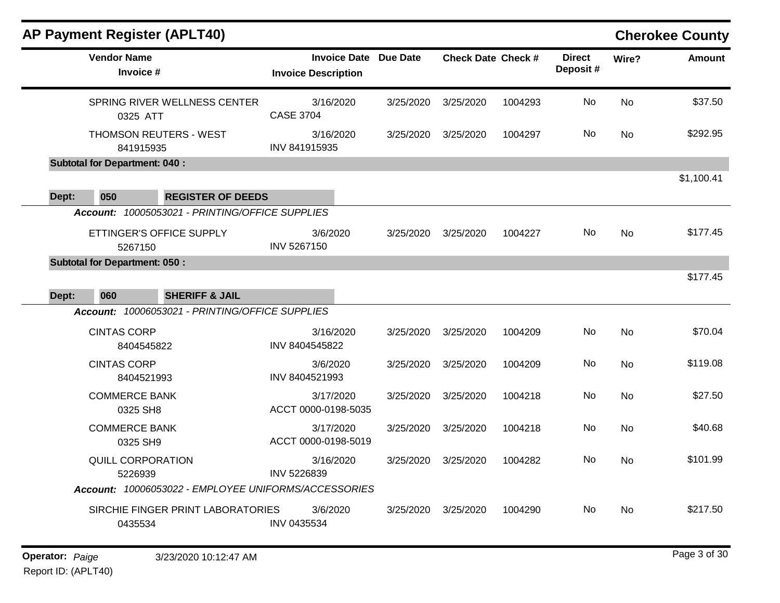| <b>AP Payment Register (APLT40)</b>                  |                                                     |           |                           |         |                           |           | <b>Cherokee County</b> |
|------------------------------------------------------|-----------------------------------------------------|-----------|---------------------------|---------|---------------------------|-----------|------------------------|
| <b>Vendor Name</b><br>Invoice #                      | Invoice Date Due Date<br><b>Invoice Description</b> |           | <b>Check Date Check #</b> |         | <b>Direct</b><br>Deposit# | Wire?     | <b>Amount</b>          |
| SPRING RIVER WELLNESS CENTER<br>0325 ATT             | 3/16/2020<br><b>CASE 3704</b>                       | 3/25/2020 | 3/25/2020                 | 1004293 | No                        | <b>No</b> | \$37.50                |
| THOMSON REUTERS - WEST<br>841915935                  | 3/16/2020<br>INV 841915935                          | 3/25/2020 | 3/25/2020                 | 1004297 | No.                       | <b>No</b> | \$292.95               |
| <b>Subtotal for Department: 040:</b>                 |                                                     |           |                           |         |                           |           |                        |
| <b>REGISTER OF DEEDS</b><br>050<br>Dept:             |                                                     |           |                           |         |                           |           | \$1,100.41             |
| Account: 10005053021 - PRINTING/OFFICE SUPPLIES      |                                                     |           |                           |         |                           |           |                        |
| ETTINGER'S OFFICE SUPPLY<br>5267150                  | 3/6/2020<br>INV 5267150                             | 3/25/2020 | 3/25/2020                 | 1004227 | No.                       | <b>No</b> | \$177.45               |
| <b>Subtotal for Department: 050:</b>                 |                                                     |           |                           |         |                           |           |                        |
| 060<br>Dept:<br><b>SHERIFF &amp; JAIL</b>            |                                                     |           |                           |         |                           |           | \$177.45               |
| Account: 10006053021 - PRINTING/OFFICE SUPPLIES      |                                                     |           |                           |         |                           |           |                        |
| <b>CINTAS CORP</b><br>8404545822                     | 3/16/2020<br>INV 8404545822                         | 3/25/2020 | 3/25/2020                 | 1004209 | No                        | <b>No</b> | \$70.04                |
| <b>CINTAS CORP</b><br>8404521993                     | 3/6/2020<br>INV 8404521993                          | 3/25/2020 | 3/25/2020                 | 1004209 | No                        | <b>No</b> | \$119.08               |
| <b>COMMERCE BANK</b><br>0325 SH8                     | 3/17/2020<br>ACCT 0000-0198-5035                    | 3/25/2020 | 3/25/2020                 | 1004218 | No                        | <b>No</b> | \$27.50                |
| <b>COMMERCE BANK</b><br>0325 SH9                     | 3/17/2020<br>ACCT 0000-0198-5019                    | 3/25/2020 | 3/25/2020                 | 1004218 | No                        | No        | \$40.68                |
| QUILL CORPORATION<br>5226939                         | 3/16/2020<br>INV 5226839                            | 3/25/2020 | 3/25/2020                 | 1004282 | No                        | <b>No</b> | \$101.99               |
| Account: 10006053022 - EMPLOYEE UNIFORMS/ACCESSORIES |                                                     |           |                           |         |                           |           |                        |
| SIRCHIE FINGER PRINT LABORATORIES<br>0435534         | 3/6/2020<br>INV 0435534                             | 3/25/2020 | 3/25/2020                 | 1004290 | No.                       | <b>No</b> | \$217.50               |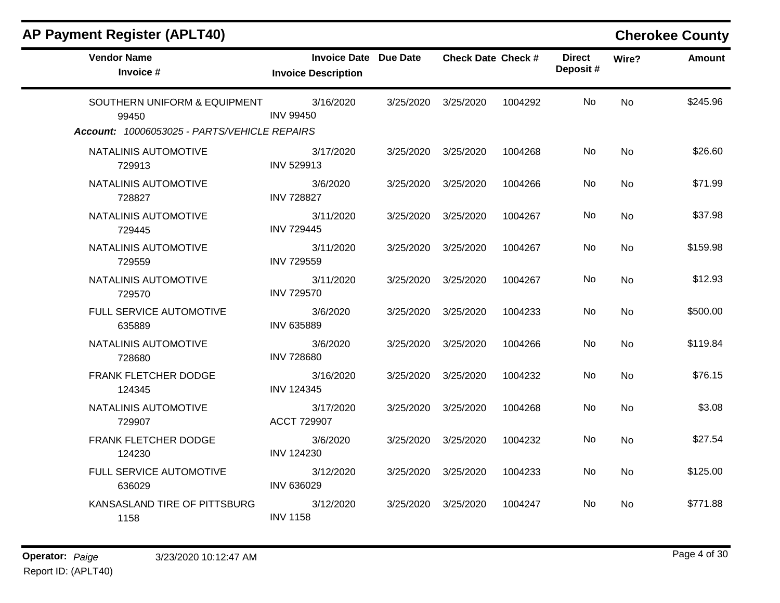| <b>AP Payment Register (APLT40)</b>          |                                                            |           |                           |         |                           |           | <b>Cherokee County</b> |
|----------------------------------------------|------------------------------------------------------------|-----------|---------------------------|---------|---------------------------|-----------|------------------------|
| <b>Vendor Name</b><br>Invoice #              | <b>Invoice Date Due Date</b><br><b>Invoice Description</b> |           | <b>Check Date Check #</b> |         | <b>Direct</b><br>Deposit# | Wire?     | <b>Amount</b>          |
| SOUTHERN UNIFORM & EQUIPMENT<br>99450        | 3/16/2020<br><b>INV 99450</b>                              | 3/25/2020 | 3/25/2020                 | 1004292 | No.                       | <b>No</b> | \$245.96               |
| Account: 10006053025 - PARTS/VEHICLE REPAIRS |                                                            |           |                           |         |                           |           |                        |
| NATALINIS AUTOMOTIVE<br>729913               | 3/17/2020<br><b>INV 529913</b>                             | 3/25/2020 | 3/25/2020                 | 1004268 | No.                       | <b>No</b> | \$26.60                |
| NATALINIS AUTOMOTIVE<br>728827               | 3/6/2020<br><b>INV 728827</b>                              | 3/25/2020 | 3/25/2020                 | 1004266 | No                        | No.       | \$71.99                |
| NATALINIS AUTOMOTIVE<br>729445               | 3/11/2020<br><b>INV 729445</b>                             | 3/25/2020 | 3/25/2020                 | 1004267 | No                        | No        | \$37.98                |
| NATALINIS AUTOMOTIVE<br>729559               | 3/11/2020<br><b>INV 729559</b>                             | 3/25/2020 | 3/25/2020                 | 1004267 | No.                       | <b>No</b> | \$159.98               |
| NATALINIS AUTOMOTIVE<br>729570               | 3/11/2020<br><b>INV 729570</b>                             | 3/25/2020 | 3/25/2020                 | 1004267 | No.                       | <b>No</b> | \$12.93                |
| FULL SERVICE AUTOMOTIVE<br>635889            | 3/6/2020<br><b>INV 635889</b>                              | 3/25/2020 | 3/25/2020                 | 1004233 | No                        | <b>No</b> | \$500.00               |
| NATALINIS AUTOMOTIVE<br>728680               | 3/6/2020<br><b>INV 728680</b>                              | 3/25/2020 | 3/25/2020                 | 1004266 | No.                       | <b>No</b> | \$119.84               |
| FRANK FLETCHER DODGE<br>124345               | 3/16/2020<br><b>INV 124345</b>                             | 3/25/2020 | 3/25/2020                 | 1004232 | No.                       | <b>No</b> | \$76.15                |
| NATALINIS AUTOMOTIVE<br>729907               | 3/17/2020<br>ACCT 729907                                   | 3/25/2020 | 3/25/2020                 | 1004268 | No.                       | No.       | \$3.08                 |
| FRANK FLETCHER DODGE<br>124230               | 3/6/2020<br><b>INV 124230</b>                              | 3/25/2020 | 3/25/2020                 | 1004232 | No                        | <b>No</b> | \$27.54                |
| FULL SERVICE AUTOMOTIVE<br>636029            | 3/12/2020<br><b>INV 636029</b>                             | 3/25/2020 | 3/25/2020                 | 1004233 | No.                       | <b>No</b> | \$125.00               |
| KANSASLAND TIRE OF PITTSBURG<br>1158         | 3/12/2020<br><b>INV 1158</b>                               | 3/25/2020 | 3/25/2020                 | 1004247 | No.                       | No.       | \$771.88               |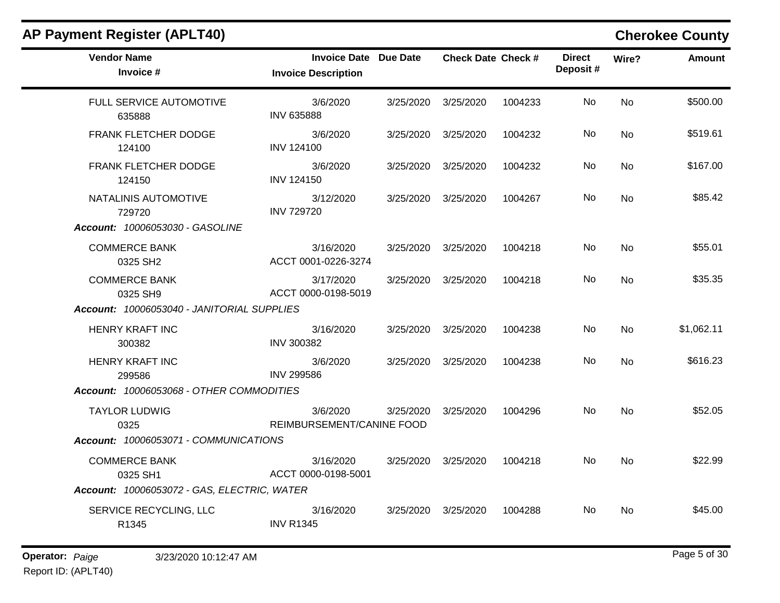| <b>Vendor Name</b><br>Invoice #                                          | <b>Invoice Date Due Date</b><br><b>Invoice Description</b> |                     | <b>Check Date Check #</b> |         | <b>Direct</b><br>Deposit# | Wire?     | Amount     |
|--------------------------------------------------------------------------|------------------------------------------------------------|---------------------|---------------------------|---------|---------------------------|-----------|------------|
| FULL SERVICE AUTOMOTIVE<br>635888                                        | 3/6/2020<br><b>INV 635888</b>                              | 3/25/2020           | 3/25/2020                 | 1004233 | No                        | <b>No</b> | \$500.00   |
| FRANK FLETCHER DODGE<br>124100                                           | 3/6/2020<br><b>INV 124100</b>                              | 3/25/2020           | 3/25/2020                 | 1004232 | No                        | No        | \$519.61   |
| FRANK FLETCHER DODGE<br>124150                                           | 3/6/2020<br><b>INV 124150</b>                              | 3/25/2020           | 3/25/2020                 | 1004232 | No                        | <b>No</b> | \$167.00   |
| NATALINIS AUTOMOTIVE<br>729720<br><b>Account: 10006053030 - GASOLINE</b> | 3/12/2020<br><b>INV 729720</b>                             | 3/25/2020 3/25/2020 |                           | 1004267 | No.                       | <b>No</b> | \$85.42    |
| <b>COMMERCE BANK</b><br>0325 SH2                                         | 3/16/2020<br>ACCT 0001-0226-3274                           | 3/25/2020 3/25/2020 |                           | 1004218 | No                        | <b>No</b> | \$55.01    |
| <b>COMMERCE BANK</b><br>0325 SH9                                         | 3/17/2020<br>ACCT 0000-0198-5019                           |                     | 3/25/2020 3/25/2020       | 1004218 | No.                       | <b>No</b> | \$35.35    |
| Account: 10006053040 - JANITORIAL SUPPLIES                               |                                                            |                     |                           |         |                           |           |            |
| HENRY KRAFT INC<br>300382                                                | 3/16/2020<br><b>INV 300382</b>                             | 3/25/2020 3/25/2020 |                           | 1004238 | No.                       | <b>No</b> | \$1,062.11 |
| <b>HENRY KRAFT INC</b><br>299586                                         | 3/6/2020<br><b>INV 299586</b>                              |                     | 3/25/2020 3/25/2020       | 1004238 | No                        | <b>No</b> | \$616.23   |
| Account: 10006053068 - OTHER COMMODITIES                                 |                                                            |                     |                           |         |                           |           |            |
| <b>TAYLOR LUDWIG</b><br>0325                                             | 3/6/2020<br>REIMBURSEMENT/CANINE FOOD                      |                     | 3/25/2020 3/25/2020       | 1004296 | No.                       | <b>No</b> | \$52.05    |
| Account: 10006053071 - COMMUNICATIONS                                    |                                                            |                     |                           |         |                           |           |            |
| <b>COMMERCE BANK</b><br>0325 SH1                                         | 3/16/2020<br>ACCT 0000-0198-5001                           |                     | 3/25/2020 3/25/2020       | 1004218 | No.                       | <b>No</b> | \$22.99    |
| Account: 10006053072 - GAS, ELECTRIC, WATER                              |                                                            |                     |                           |         |                           |           |            |
| SERVICE RECYCLING, LLC<br>R1345                                          | 3/16/2020<br><b>INV R1345</b>                              | 3/25/2020           | 3/25/2020                 | 1004288 | No.                       | <b>No</b> | \$45.00    |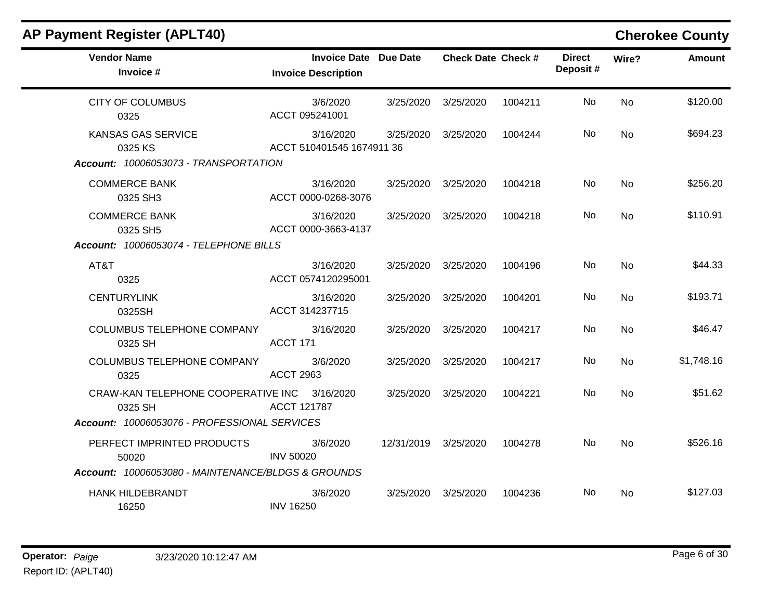| <b>AP Payment Register (APLT40)</b>                                           |                                        |                              |                           |         |                           |           | <b>Cherokee County</b> |
|-------------------------------------------------------------------------------|----------------------------------------|------------------------------|---------------------------|---------|---------------------------|-----------|------------------------|
| <b>Vendor Name</b><br>Invoice #                                               | <b>Invoice Description</b>             | <b>Invoice Date Due Date</b> | <b>Check Date Check #</b> |         | <b>Direct</b><br>Deposit# | Wire?     | <b>Amount</b>          |
| <b>CITY OF COLUMBUS</b><br>0325                                               | 3/6/2020<br>ACCT 095241001             | 3/25/2020                    | 3/25/2020                 | 1004211 | No                        | <b>No</b> | \$120.00               |
| <b>KANSAS GAS SERVICE</b><br>0325 KS<br>Account: 10006053073 - TRANSPORTATION | 3/16/2020<br>ACCT 510401545 1674911 36 | 3/25/2020                    | 3/25/2020                 | 1004244 | No                        | No        | \$694.23               |
| <b>COMMERCE BANK</b><br>0325 SH3                                              | 3/16/2020<br>ACCT 0000-0268-3076       | 3/25/2020                    | 3/25/2020                 | 1004218 | No                        | <b>No</b> | \$256.20               |
| <b>COMMERCE BANK</b><br>0325 SH5<br>Account: 10006053074 - TELEPHONE BILLS    | 3/16/2020<br>ACCT 0000-3663-4137       | 3/25/2020                    | 3/25/2020                 | 1004218 | No                        | <b>No</b> | \$110.91               |
| AT&T<br>0325                                                                  | 3/16/2020<br>ACCT 0574120295001        | 3/25/2020                    | 3/25/2020                 | 1004196 | No                        | <b>No</b> | \$44.33                |
| <b>CENTURYLINK</b><br>0325SH                                                  | 3/16/2020<br>ACCT 314237715            | 3/25/2020                    | 3/25/2020                 | 1004201 | No                        | <b>No</b> | \$193.71               |
| <b>COLUMBUS TELEPHONE COMPANY</b><br>0325 SH                                  | 3/16/2020<br>ACCT 171                  | 3/25/2020                    | 3/25/2020                 | 1004217 | No                        | <b>No</b> | \$46.47                |
| COLUMBUS TELEPHONE COMPANY<br>0325                                            | 3/6/2020<br><b>ACCT 2963</b>           | 3/25/2020                    | 3/25/2020                 | 1004217 | No.                       | No        | \$1,748.16             |
| CRAW-KAN TELEPHONE COOPERATIVE INC<br>0325 SH                                 | 3/16/2020<br><b>ACCT 121787</b>        | 3/25/2020                    | 3/25/2020                 | 1004221 | No                        | <b>No</b> | \$51.62                |
| Account: 10006053076 - PROFESSIONAL SERVICES                                  |                                        |                              |                           |         |                           |           |                        |
| PERFECT IMPRINTED PRODUCTS<br>50020                                           | 3/6/2020<br><b>INV 50020</b>           | 12/31/2019                   | 3/25/2020                 | 1004278 | No                        | <b>No</b> | \$526.16               |
| Account: 10006053080 - MAINTENANCE/BLDGS & GROUNDS                            |                                        |                              |                           |         |                           |           |                        |
| <b>HANK HILDEBRANDT</b><br>16250                                              | 3/6/2020<br><b>INV 16250</b>           | 3/25/2020                    | 3/25/2020                 | 1004236 | No.                       | No        | \$127.03               |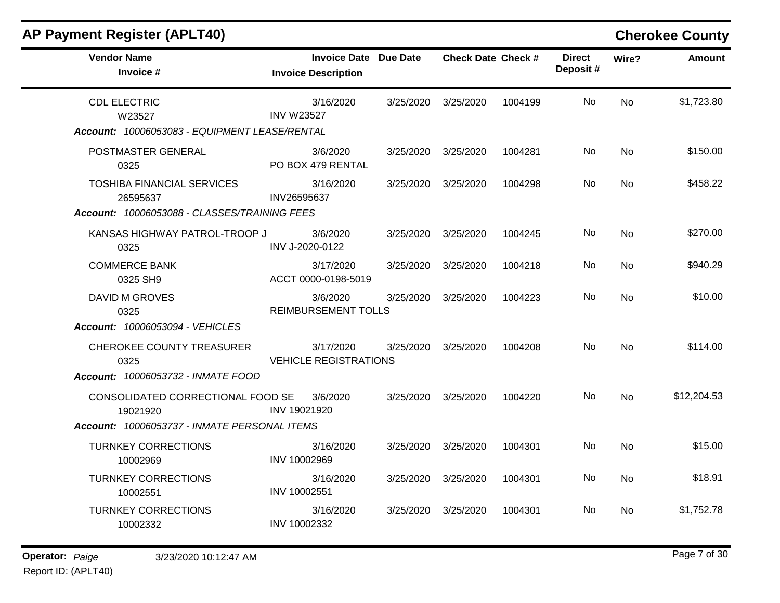| <b>AP Payment Register (APLT40)</b>                                                                                                        |                                                            |           |                           |         |                           |           | <b>Cherokee County</b> |
|--------------------------------------------------------------------------------------------------------------------------------------------|------------------------------------------------------------|-----------|---------------------------|---------|---------------------------|-----------|------------------------|
| <b>Vendor Name</b><br>Invoice #                                                                                                            | <b>Invoice Date Due Date</b><br><b>Invoice Description</b> |           | <b>Check Date Check #</b> |         | <b>Direct</b><br>Deposit# | Wire?     | <b>Amount</b>          |
| <b>CDL ELECTRIC</b><br>W23527<br>Account: 10006053083 - EQUIPMENT LEASE/RENTAL                                                             | 3/16/2020<br><b>INV W23527</b>                             | 3/25/2020 | 3/25/2020                 | 1004199 | No                        | <b>No</b> | \$1,723.80             |
| POSTMASTER GENERAL<br>0325                                                                                                                 | 3/6/2020<br>PO BOX 479 RENTAL                              | 3/25/2020 | 3/25/2020                 | 1004281 | No.                       | No        | \$150.00               |
| <b>TOSHIBA FINANCIAL SERVICES</b><br>26595637<br>Account: 10006053088 - CLASSES/TRAINING FEES                                              | 3/16/2020<br>INV26595637                                   | 3/25/2020 | 3/25/2020                 | 1004298 | No                        | <b>No</b> | \$458.22               |
| KANSAS HIGHWAY PATROL-TROOP J<br>0325                                                                                                      | 3/6/2020<br>INV J-2020-0122                                | 3/25/2020 | 3/25/2020                 | 1004245 | No                        | <b>No</b> | \$270.00               |
| <b>COMMERCE BANK</b><br>0325 SH9                                                                                                           | 3/17/2020<br>ACCT 0000-0198-5019                           | 3/25/2020 | 3/25/2020                 | 1004218 | No                        | No        | \$940.29               |
| <b>DAVID M GROVES</b><br>0325<br>Account: 10006053094 - VEHICLES                                                                           | 3/6/2020<br><b>REIMBURSEMENT TOLLS</b>                     | 3/25/2020 | 3/25/2020                 | 1004223 | No                        | No.       | \$10.00                |
| CHEROKEE COUNTY TREASURER<br>0325                                                                                                          | 3/17/2020<br><b>VEHICLE REGISTRATIONS</b>                  | 3/25/2020 | 3/25/2020                 | 1004208 | No                        | No.       | \$114.00               |
| <b>Account: 10006053732 - INMATE FOOD</b><br>CONSOLIDATED CORRECTIONAL FOOD SE<br>19021920<br>Account: 10006053737 - INMATE PERSONAL ITEMS | 3/6/2020<br>INV 19021920                                   | 3/25/2020 | 3/25/2020                 | 1004220 | No                        | <b>No</b> | \$12,204.53            |
| <b>TURNKEY CORRECTIONS</b><br>10002969                                                                                                     | 3/16/2020<br>INV 10002969                                  | 3/25/2020 | 3/25/2020                 | 1004301 | No                        | No        | \$15.00                |
| <b>TURNKEY CORRECTIONS</b><br>10002551                                                                                                     | 3/16/2020<br>INV 10002551                                  | 3/25/2020 | 3/25/2020                 | 1004301 | No.                       | No        | \$18.91                |
| <b>TURNKEY CORRECTIONS</b><br>10002332                                                                                                     | 3/16/2020<br>INV 10002332                                  | 3/25/2020 | 3/25/2020                 | 1004301 | No                        | No.       | \$1,752.78             |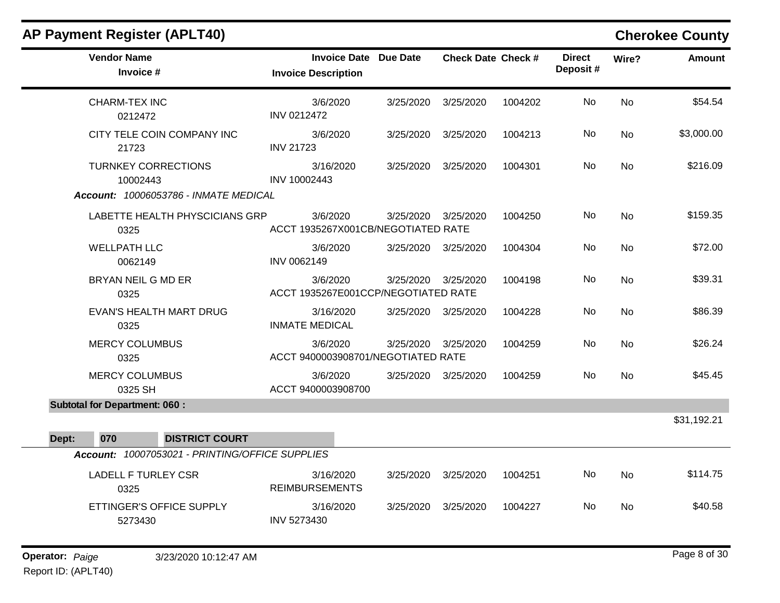| <b>Vendor Name</b><br><b>Invoice Date Due Date</b><br><b>Direct</b><br><b>Check Date Check #</b><br>Wire?<br>Deposit#<br>Invoice #<br><b>Invoice Description</b> | <b>Amount</b> |
|------------------------------------------------------------------------------------------------------------------------------------------------------------------|---------------|
|                                                                                                                                                                  |               |
| CHARM-TEX INC<br>3/6/2020<br>No.<br><b>No</b><br>3/25/2020<br>3/25/2020<br>1004202<br>INV 0212472<br>0212472                                                     | \$54.54       |
| CITY TELE COIN COMPANY INC<br>3/6/2020<br>3/25/2020 3/25/2020<br>No<br>No<br>1004213<br><b>INV 21723</b><br>21723                                                | \$3,000.00    |
| No<br><b>No</b><br><b>TURNKEY CORRECTIONS</b><br>3/16/2020<br>3/25/2020<br>3/25/2020<br>1004301<br>INV 10002443<br>10002443                                      | \$216.09      |
| Account: 10006053786 - INMATE MEDICAL                                                                                                                            |               |
| 3/6/2020<br>No<br><b>No</b><br>LABETTE HEALTH PHYSCICIANS GRP<br>3/25/2020 3/25/2020<br>1004250<br>ACCT 1935267X001CB/NEGOTIATED RATE<br>0325                    | \$159.35      |
| <b>WELLPATH LLC</b><br>No<br><b>No</b><br>3/6/2020<br>3/25/2020 3/25/2020<br>1004304<br>INV 0062149<br>0062149                                                   | \$72.00       |
| BRYAN NEIL G MD ER<br>3/6/2020<br>3/25/2020 3/25/2020<br>No<br><b>No</b><br>1004198<br>ACCT 1935267E001CCP/NEGOTIATED RATE<br>0325                               | \$39.31       |
| No<br><b>No</b><br><b>EVAN'S HEALTH MART DRUG</b><br>3/16/2020<br>3/25/2020 3/25/2020<br>1004228<br><b>INMATE MEDICAL</b><br>0325                                | \$86.39       |
| <b>MERCY COLUMBUS</b><br>3/6/2020<br>3/25/2020 3/25/2020<br>No.<br><b>No</b><br>1004259<br>ACCT 9400003908701/NEGOTIATED RATE<br>0325                            | \$26.24       |
| No<br><b>MERCY COLUMBUS</b><br>3/6/2020<br>3/25/2020 3/25/2020<br>1004259<br><b>No</b><br>ACCT 9400003908700<br>0325 SH                                          | \$45.45       |
| <b>Subtotal for Department: 060:</b>                                                                                                                             |               |
|                                                                                                                                                                  | \$31,192.21   |
| 070<br>Dept:<br><b>DISTRICT COURT</b>                                                                                                                            |               |
| Account: 10007053021 - PRINTING/OFFICE SUPPLIES                                                                                                                  |               |
| No<br><b>No</b><br><b>LADELL F TURLEY CSR</b><br>3/16/2020<br>3/25/2020<br>3/25/2020<br>1004251<br><b>REIMBURSEMENTS</b><br>0325                                 | \$114.75      |
| No<br>ETTINGER'S OFFICE SUPPLY<br>3/16/2020<br>3/25/2020<br>3/25/2020<br>1004227<br><b>No</b><br>INV 5273430<br>5273430                                          | \$40.58       |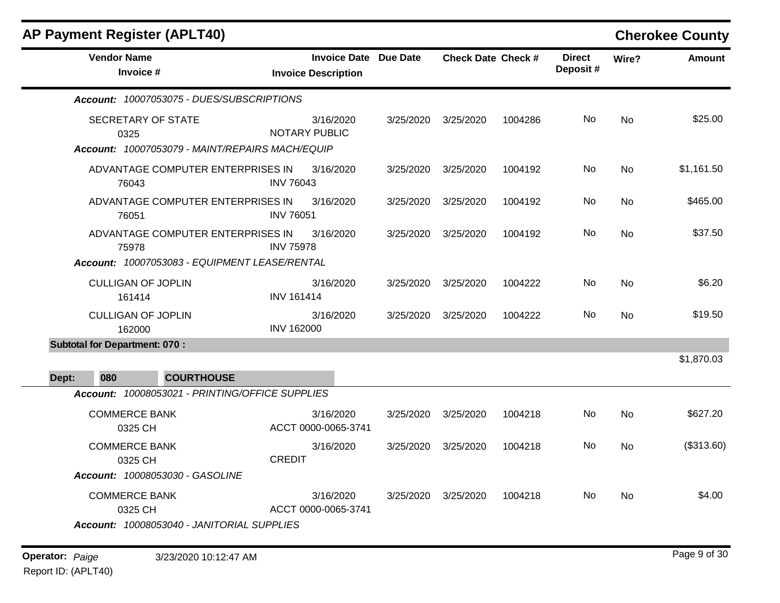|                                                         |                                                                                                                                                                                                                                                                                                                 |                                                                            |         |                           |           | <b>Cherokee County</b> |
|---------------------------------------------------------|-----------------------------------------------------------------------------------------------------------------------------------------------------------------------------------------------------------------------------------------------------------------------------------------------------------------|----------------------------------------------------------------------------|---------|---------------------------|-----------|------------------------|
| <b>Invoice Description</b>                              |                                                                                                                                                                                                                                                                                                                 |                                                                            |         | <b>Direct</b><br>Deposit# | Wire?     | <b>Amount</b>          |
|                                                         |                                                                                                                                                                                                                                                                                                                 |                                                                            |         |                           |           |                        |
| 3/16/2020<br><b>NOTARY PUBLIC</b>                       | 3/25/2020                                                                                                                                                                                                                                                                                                       | 3/25/2020                                                                  | 1004286 | No                        | No.       | \$25.00                |
| 3/16/2020<br><b>INV 76043</b>                           | 3/25/2020                                                                                                                                                                                                                                                                                                       | 3/25/2020                                                                  | 1004192 | No.                       | <b>No</b> | \$1,161.50             |
| 3/16/2020<br><b>INV 76051</b>                           | 3/25/2020                                                                                                                                                                                                                                                                                                       | 3/25/2020                                                                  | 1004192 | No.                       | <b>No</b> | \$465.00               |
| 3/16/2020<br><b>INV 75978</b>                           | 3/25/2020                                                                                                                                                                                                                                                                                                       | 3/25/2020                                                                  | 1004192 | No                        | <b>No</b> | \$37.50                |
|                                                         |                                                                                                                                                                                                                                                                                                                 |                                                                            |         |                           |           |                        |
| 3/16/2020<br><b>INV 161414</b>                          | 3/25/2020                                                                                                                                                                                                                                                                                                       | 3/25/2020                                                                  | 1004222 | No.                       | No        | \$6.20                 |
| 3/16/2020<br><b>INV 162000</b>                          | 3/25/2020                                                                                                                                                                                                                                                                                                       | 3/25/2020                                                                  | 1004222 | No.                       | No        | \$19.50                |
|                                                         |                                                                                                                                                                                                                                                                                                                 |                                                                            |         |                           |           |                        |
|                                                         |                                                                                                                                                                                                                                                                                                                 |                                                                            |         |                           |           | \$1,870.03             |
|                                                         |                                                                                                                                                                                                                                                                                                                 |                                                                            |         |                           |           |                        |
| 3/16/2020                                               | 3/25/2020                                                                                                                                                                                                                                                                                                       | 3/25/2020                                                                  | 1004218 | No                        | No        | \$627.20               |
| 3/16/2020<br><b>CREDIT</b>                              | 3/25/2020                                                                                                                                                                                                                                                                                                       | 3/25/2020                                                                  | 1004218 | No                        | <b>No</b> | (\$313.60)             |
| 3/16/2020<br>Account: 10008053040 - JANITORIAL SUPPLIES | 3/25/2020                                                                                                                                                                                                                                                                                                       | 3/25/2020                                                                  | 1004218 | No.                       | No        | \$4.00                 |
|                                                         | Account: 10007053075 - DUES/SUBSCRIPTIONS<br>Account: 10007053079 - MAINT/REPAIRS MACH/EQUIP<br>ADVANTAGE COMPUTER ENTERPRISES IN<br>ADVANTAGE COMPUTER ENTERPRISES IN<br>ADVANTAGE COMPUTER ENTERPRISES IN<br>Account: 10007053083 - EQUIPMENT LEASE/RENTAL<br>Account: 10008053021 - PRINTING/OFFICE SUPPLIES | <b>Invoice Date Due Date</b><br>ACCT 0000-0065-3741<br>ACCT 0000-0065-3741 |         | <b>Check Date Check #</b> |           |                        |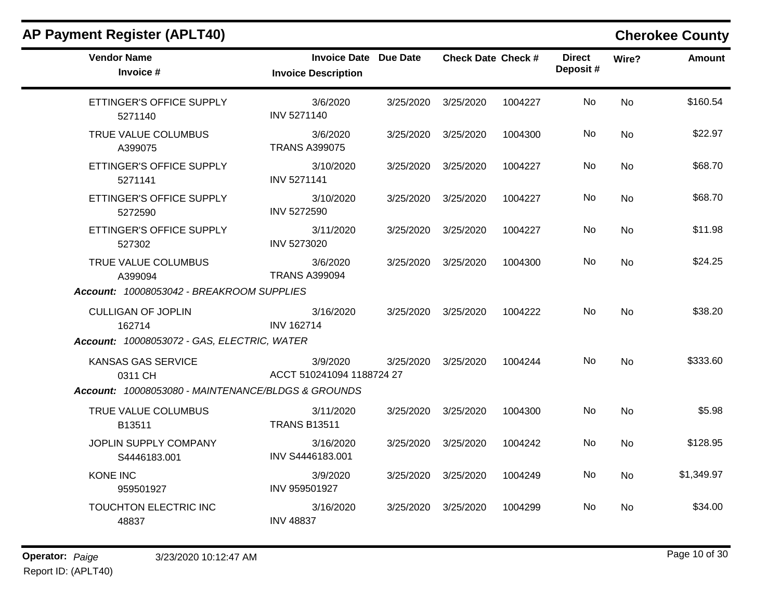| <b>Vendor Name</b><br>Invoice #                    | <b>Invoice Date Due Date</b><br><b>Invoice Description</b> |           | <b>Check Date Check #</b> |         | <b>Direct</b><br>Deposit# | Wire?     | <b>Amount</b> |
|----------------------------------------------------|------------------------------------------------------------|-----------|---------------------------|---------|---------------------------|-----------|---------------|
| ETTINGER'S OFFICE SUPPLY<br>5271140                | 3/6/2020<br><b>INV 5271140</b>                             | 3/25/2020 | 3/25/2020                 | 1004227 | No                        | <b>No</b> | \$160.54      |
| TRUE VALUE COLUMBUS<br>A399075                     | 3/6/2020<br><b>TRANS A399075</b>                           | 3/25/2020 | 3/25/2020                 | 1004300 | No.                       | No        | \$22.97       |
| ETTINGER'S OFFICE SUPPLY<br>5271141                | 3/10/2020<br><b>INV 5271141</b>                            | 3/25/2020 | 3/25/2020                 | 1004227 | No                        | <b>No</b> | \$68.70       |
| ETTINGER'S OFFICE SUPPLY<br>5272590                | 3/10/2020<br><b>INV 5272590</b>                            | 3/25/2020 | 3/25/2020                 | 1004227 | No                        | <b>No</b> | \$68.70       |
| ETTINGER'S OFFICE SUPPLY<br>527302                 | 3/11/2020<br><b>INV 5273020</b>                            | 3/25/2020 | 3/25/2020                 | 1004227 | No.                       | No        | \$11.98       |
| TRUE VALUE COLUMBUS<br>A399094                     | 3/6/2020<br><b>TRANS A399094</b>                           | 3/25/2020 | 3/25/2020                 | 1004300 | No                        | <b>No</b> | \$24.25       |
| Account: 10008053042 - BREAKROOM SUPPLIES          |                                                            |           |                           |         |                           |           |               |
| <b>CULLIGAN OF JOPLIN</b><br>162714                | 3/16/2020<br><b>INV 162714</b>                             | 3/25/2020 | 3/25/2020                 | 1004222 | No                        | <b>No</b> | \$38.20       |
| Account: 10008053072 - GAS, ELECTRIC, WATER        |                                                            |           |                           |         |                           |           |               |
| <b>KANSAS GAS SERVICE</b><br>0311 CH               | 3/9/2020<br>ACCT 510241094 1188724 27                      | 3/25/2020 | 3/25/2020                 | 1004244 | No                        | <b>No</b> | \$333.60      |
| Account: 10008053080 - MAINTENANCE/BLDGS & GROUNDS |                                                            |           |                           |         |                           |           |               |
| TRUE VALUE COLUMBUS<br>B13511                      | 3/11/2020<br><b>TRANS B13511</b>                           | 3/25/2020 | 3/25/2020                 | 1004300 | No                        | <b>No</b> | \$5.98        |
| JOPLIN SUPPLY COMPANY<br>S4446183.001              | 3/16/2020<br>INV S4446183.001                              | 3/25/2020 | 3/25/2020                 | 1004242 | No                        | <b>No</b> | \$128.95      |
| <b>KONE INC</b><br>959501927                       | 3/9/2020<br>INV 959501927                                  | 3/25/2020 | 3/25/2020                 | 1004249 | No.                       | No        | \$1,349.97    |
| TOUCHTON ELECTRIC INC<br>48837                     | 3/16/2020<br><b>INV 48837</b>                              | 3/25/2020 | 3/25/2020                 | 1004299 | No.                       | <b>No</b> | \$34.00       |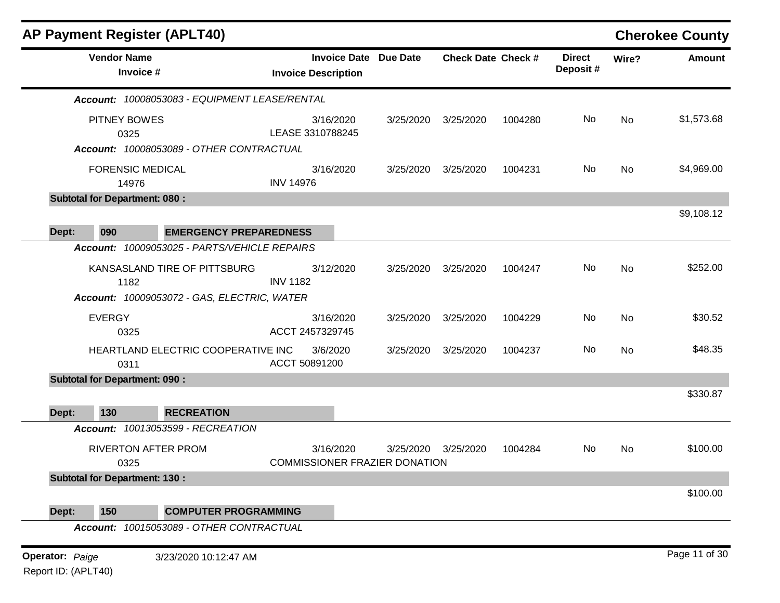|                        |                                              | <b>AP Payment Register (APLT40)</b>           |                                                   |                 |                           |         |                           |           | <b>Cherokee County</b> |
|------------------------|----------------------------------------------|-----------------------------------------------|---------------------------------------------------|-----------------|---------------------------|---------|---------------------------|-----------|------------------------|
|                        | <b>Vendor Name</b><br>Invoice #              |                                               | <b>Invoice Date</b><br><b>Invoice Description</b> | <b>Due Date</b> | <b>Check Date Check #</b> |         | <b>Direct</b><br>Deposit# | Wire?     | <b>Amount</b>          |
|                        |                                              | Account: 10008053083 - EQUIPMENT LEASE/RENTAL |                                                   |                 |                           |         |                           |           |                        |
|                        | PITNEY BOWES<br>0325                         |                                               | 3/16/2020<br>LEASE 3310788245                     | 3/25/2020       | 3/25/2020                 | 1004280 | No                        | No        | \$1,573.68             |
|                        |                                              | Account: 10008053089 - OTHER CONTRACTUAL      |                                                   |                 |                           |         |                           |           |                        |
|                        | <b>FORENSIC MEDICAL</b><br>14976             |                                               | 3/16/2020<br><b>INV 14976</b>                     | 3/25/2020       | 3/25/2020                 | 1004231 | No                        | No        | \$4,969.00             |
|                        | <b>Subtotal for Department: 080:</b>         |                                               |                                                   |                 |                           |         |                           |           | \$9,108.12             |
| Dept:                  | 090                                          | <b>EMERGENCY PREPAREDNESS</b>                 |                                                   |                 |                           |         |                           |           |                        |
|                        |                                              | Account: 10009053025 - PARTS/VEHICLE REPAIRS  |                                                   |                 |                           |         |                           |           |                        |
|                        | 1182                                         | KANSASLAND TIRE OF PITTSBURG                  | 3/12/2020<br><b>INV 1182</b>                      | 3/25/2020       | 3/25/2020                 | 1004247 | No                        | <b>No</b> | \$252.00               |
|                        |                                              | Account: 10009053072 - GAS, ELECTRIC, WATER   |                                                   |                 |                           |         |                           |           |                        |
|                        | <b>EVERGY</b><br>0325                        |                                               | 3/16/2020<br>ACCT 2457329745                      | 3/25/2020       | 3/25/2020                 | 1004229 | No                        | <b>No</b> | \$30.52                |
|                        | 0311                                         | HEARTLAND ELECTRIC COOPERATIVE INC            | 3/6/2020<br>ACCT 50891200                         | 3/25/2020       | 3/25/2020                 | 1004237 | No                        | <b>No</b> | \$48.35                |
|                        | <b>Subtotal for Department: 090:</b>         |                                               |                                                   |                 |                           |         |                           |           |                        |
|                        |                                              |                                               |                                                   |                 |                           |         |                           |           | \$330.87               |
| Dept:                  | 130                                          | <b>RECREATION</b>                             |                                                   |                 |                           |         |                           |           |                        |
|                        |                                              | Account: 10013053599 - RECREATION             |                                                   |                 |                           |         |                           |           |                        |
|                        |                                              | <b>RIVERTON AFTER PROM</b>                    | 3/16/2020<br><b>COMMISSIONER FRAZIER DONATION</b> | 3/25/2020       | 3/25/2020                 | 1004284 | No                        | <b>No</b> | \$100.00               |
|                        | 0325<br><b>Subtotal for Department: 130:</b> |                                               |                                                   |                 |                           |         |                           |           |                        |
|                        |                                              |                                               |                                                   |                 |                           |         |                           |           | \$100.00               |
| Dept:                  | 150                                          | <b>COMPUTER PROGRAMMING</b>                   |                                                   |                 |                           |         |                           |           |                        |
|                        |                                              | Account: 10015053089 - OTHER CONTRACTUAL      |                                                   |                 |                           |         |                           |           |                        |
|                        |                                              |                                               |                                                   |                 |                           |         |                           |           | Page 11 of 30          |
| <b>Operator: Paige</b> |                                              | 3/23/2020 10:12:47 AM                         |                                                   |                 |                           |         |                           |           |                        |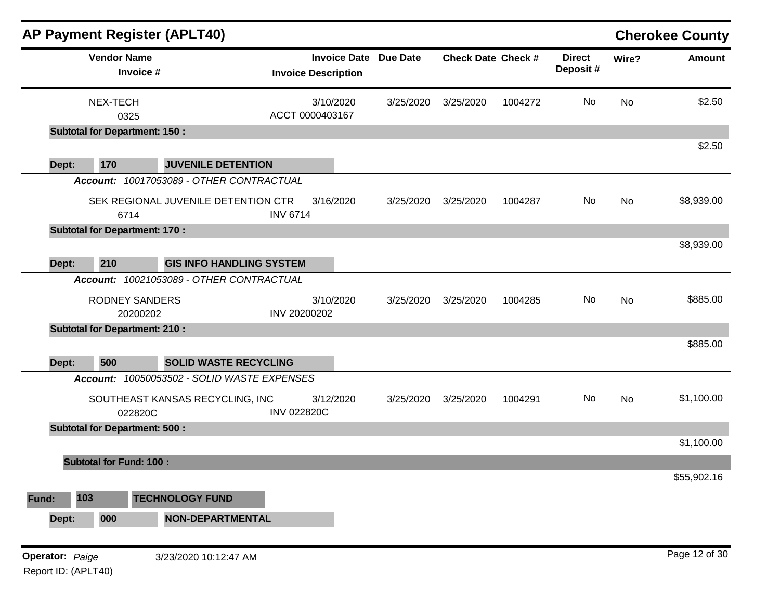|                 |                                      | AP Payment Register (APLT40)                |                                                   |                 |                           |         |                           |           | <b>Cherokee County</b> |
|-----------------|--------------------------------------|---------------------------------------------|---------------------------------------------------|-----------------|---------------------------|---------|---------------------------|-----------|------------------------|
|                 | <b>Vendor Name</b><br>Invoice #      |                                             | <b>Invoice Date</b><br><b>Invoice Description</b> | <b>Due Date</b> | <b>Check Date Check #</b> |         | <b>Direct</b><br>Deposit# | Wire?     | <b>Amount</b>          |
|                 | NEX-TECH<br>0325                     |                                             | 3/10/2020<br>ACCT 0000403167                      | 3/25/2020       | 3/25/2020                 | 1004272 | No                        | No        | \$2.50                 |
|                 | <b>Subtotal for Department: 150:</b> |                                             |                                                   |                 |                           |         |                           |           |                        |
| Dept:           | 170                                  | <b>JUVENILE DETENTION</b>                   |                                                   |                 |                           |         |                           |           | \$2.50                 |
|                 |                                      | Account: 10017053089 - OTHER CONTRACTUAL    |                                                   |                 |                           |         |                           |           |                        |
|                 | 6714                                 | SEK REGIONAL JUVENILE DETENTION CTR         | 3/16/2020<br><b>INV 6714</b>                      | 3/25/2020       | 3/25/2020                 | 1004287 | No                        | No        | \$8,939.00             |
|                 | <b>Subtotal for Department: 170:</b> |                                             |                                                   |                 |                           |         |                           |           |                        |
|                 |                                      |                                             |                                                   |                 |                           |         |                           |           | \$8,939.00             |
| Dept:           | 210                                  | <b>GIS INFO HANDLING SYSTEM</b>             |                                                   |                 |                           |         |                           |           |                        |
|                 |                                      | Account: 10021053089 - OTHER CONTRACTUAL    |                                                   |                 |                           |         |                           |           |                        |
|                 | <b>RODNEY SANDERS</b><br>20200202    |                                             | 3/10/2020<br>INV 20200202                         | 3/25/2020       | 3/25/2020                 | 1004285 | No                        | <b>No</b> | \$885.00               |
|                 | <b>Subtotal for Department: 210:</b> |                                             |                                                   |                 |                           |         |                           |           |                        |
|                 |                                      |                                             |                                                   |                 |                           |         |                           |           | \$885.00               |
| Dept:           | 500                                  | <b>SOLID WASTE RECYCLING</b>                |                                                   |                 |                           |         |                           |           |                        |
|                 |                                      | Account: 10050053502 - SOLID WASTE EXPENSES |                                                   |                 |                           |         |                           |           |                        |
|                 | 022820C                              | SOUTHEAST KANSAS RECYCLING, INC             | 3/12/2020<br><b>INV 022820C</b>                   | 3/25/2020       | 3/25/2020                 | 1004291 | No                        | No        | \$1,100.00             |
|                 | <b>Subtotal for Department: 500:</b> |                                             |                                                   |                 |                           |         |                           |           |                        |
|                 |                                      |                                             |                                                   |                 |                           |         |                           |           | \$1,100.00             |
|                 | <b>Subtotal for Fund: 100:</b>       |                                             |                                                   |                 |                           |         |                           |           | \$55,902.16            |
| 103<br>Fund:    |                                      | <b>TECHNOLOGY FUND</b>                      |                                                   |                 |                           |         |                           |           |                        |
| Dept:           | 000                                  | <b>NON-DEPARTMENTAL</b>                     |                                                   |                 |                           |         |                           |           |                        |
|                 |                                      |                                             |                                                   |                 |                           |         |                           |           |                        |
| Operator: Paige |                                      | 3/23/2020 10:12:47 AM                       |                                                   |                 |                           |         |                           |           | Page 12 of 30          |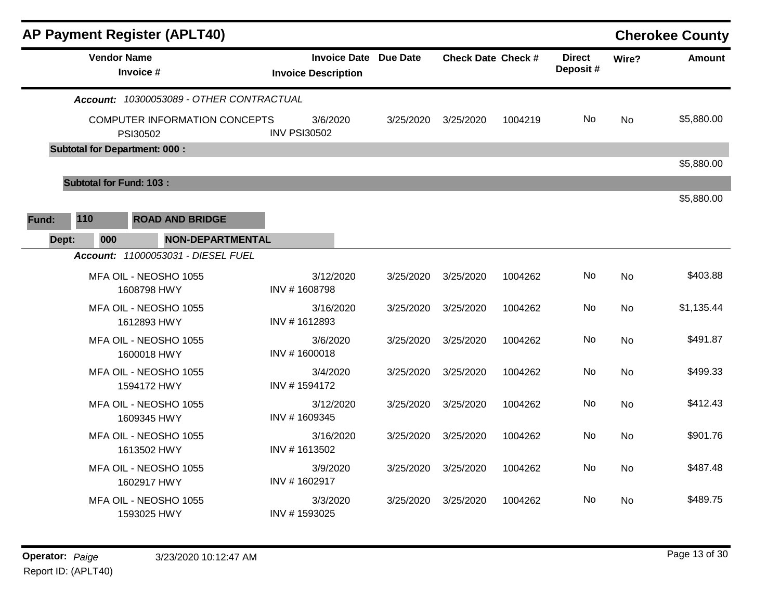| <b>AP Payment Register (APLT40)</b><br><b>Cherokee County</b> |                                |                                           |                     |                                                            |           |                           |         |                           |           |               |  |
|---------------------------------------------------------------|--------------------------------|-------------------------------------------|---------------------|------------------------------------------------------------|-----------|---------------------------|---------|---------------------------|-----------|---------------|--|
|                                                               | <b>Vendor Name</b>             | Invoice #                                 |                     | <b>Invoice Date Due Date</b><br><b>Invoice Description</b> |           | <b>Check Date Check #</b> |         | <b>Direct</b><br>Deposit# | Wire?     | <b>Amount</b> |  |
|                                                               |                                | Account: 10300053089 - OTHER CONTRACTUAL  |                     |                                                            |           |                           |         |                           |           |               |  |
|                                                               |                                | COMPUTER INFORMATION CONCEPTS<br>PSI30502 | <b>INV PSI30502</b> | 3/6/2020                                                   | 3/25/2020 | 3/25/2020                 | 1004219 | No.                       | No        | \$5,880.00    |  |
|                                                               |                                | <b>Subtotal for Department: 000:</b>      |                     |                                                            |           |                           |         |                           |           |               |  |
|                                                               |                                |                                           |                     |                                                            |           |                           |         |                           |           | \$5,880.00    |  |
|                                                               | <b>Subtotal for Fund: 103:</b> |                                           |                     |                                                            |           |                           |         |                           |           |               |  |
|                                                               |                                |                                           |                     |                                                            |           |                           |         |                           |           | \$5,880.00    |  |
| Fund:                                                         | 110                            | <b>ROAD AND BRIDGE</b>                    |                     |                                                            |           |                           |         |                           |           |               |  |
| Dept:                                                         | 000                            | NON-DEPARTMENTAL                          |                     |                                                            |           |                           |         |                           |           |               |  |
|                                                               |                                | Account: 11000053031 - DIESEL FUEL        |                     |                                                            |           |                           |         |                           |           |               |  |
|                                                               |                                | MFA OIL - NEOSHO 1055<br>1608798 HWY      | INV #1608798        | 3/12/2020                                                  | 3/25/2020 | 3/25/2020                 | 1004262 | No.                       | <b>No</b> | \$403.88      |  |
|                                                               |                                | MFA OIL - NEOSHO 1055<br>1612893 HWY      | INV #1612893        | 3/16/2020                                                  | 3/25/2020 | 3/25/2020                 | 1004262 | No                        | <b>No</b> | \$1,135.44    |  |
|                                                               |                                | MFA OIL - NEOSHO 1055<br>1600018 HWY      | INV #1600018        | 3/6/2020                                                   | 3/25/2020 | 3/25/2020                 | 1004262 | No.                       | No        | \$491.87      |  |
|                                                               |                                | MFA OIL - NEOSHO 1055<br>1594172 HWY      | INV #1594172        | 3/4/2020                                                   | 3/25/2020 | 3/25/2020                 | 1004262 | No                        | <b>No</b> | \$499.33      |  |
|                                                               |                                | MFA OIL - NEOSHO 1055<br>1609345 HWY      | INV #1609345        | 3/12/2020                                                  | 3/25/2020 | 3/25/2020                 | 1004262 | No                        | <b>No</b> | \$412.43      |  |
|                                                               |                                | MFA OIL - NEOSHO 1055<br>1613502 HWY      | INV #1613502        | 3/16/2020                                                  | 3/25/2020 | 3/25/2020                 | 1004262 | No.                       | <b>No</b> | \$901.76      |  |
|                                                               |                                | MFA OIL - NEOSHO 1055<br>1602917 HWY      | INV #1602917        | 3/9/2020                                                   | 3/25/2020 | 3/25/2020                 | 1004262 | No                        | No        | \$487.48      |  |
|                                                               |                                | MFA OIL - NEOSHO 1055<br>1593025 HWY      | INV #1593025        | 3/3/2020                                                   | 3/25/2020 | 3/25/2020                 | 1004262 | No                        | No        | \$489.75      |  |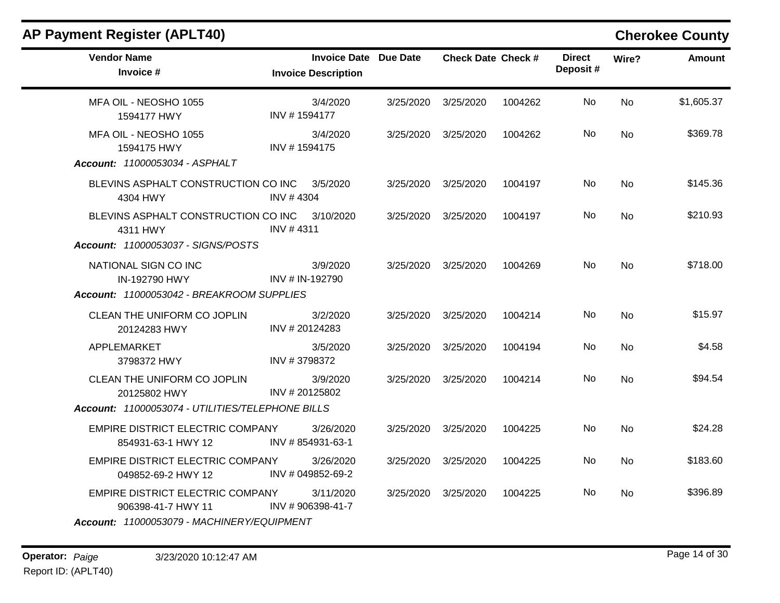| <b>Vendor Name</b>                                                      |              | <b>Invoice Date Due Date</b>   | <b>Check Date Check #</b> |         | <b>Direct</b> | Wire?     | <b>Amount</b> |
|-------------------------------------------------------------------------|--------------|--------------------------------|---------------------------|---------|---------------|-----------|---------------|
| Invoice #                                                               |              | <b>Invoice Description</b>     |                           |         | Deposit#      |           |               |
| MFA OIL - NEOSHO 1055<br>1594177 HWY                                    | INV #1594177 | 3/4/2020                       | 3/25/2020 3/25/2020       | 1004262 | No            | <b>No</b> | \$1,605.37    |
| MFA OIL - NEOSHO 1055<br>1594175 HWY                                    | INV #1594175 | 3/4/2020                       | 3/25/2020 3/25/2020       | 1004262 | No            | <b>No</b> | \$369.78      |
| Account: 11000053034 - ASPHALT                                          |              |                                |                           |         |               |           |               |
| BLEVINS ASPHALT CONSTRUCTION CO INC 3/5/2020<br>4304 HWY                | INV #4304    |                                | 3/25/2020 3/25/2020       | 1004197 | No.           | <b>No</b> | \$145.36      |
| BLEVINS ASPHALT CONSTRUCTION CO INC 3/10/2020<br>4311 HWY               | INV #4311    |                                | 3/25/2020 3/25/2020       | 1004197 | No            | <b>No</b> | \$210.93      |
| Account: 11000053037 - SIGNS/POSTS                                      |              |                                |                           |         |               |           |               |
| NATIONAL SIGN CO INC<br>IN-192790 HWY                                   |              | 3/9/2020<br>INV # IN-192790    | 3/25/2020 3/25/2020       | 1004269 | No.           | <b>No</b> | \$718.00      |
| Account: 11000053042 - BREAKROOM SUPPLIES                               |              |                                |                           |         |               |           |               |
| CLEAN THE UNIFORM CO JOPLIN<br>20124283 HWY                             |              | 3/2/2020<br>INV #20124283      | 3/25/2020 3/25/2020       | 1004214 | No            | <b>No</b> | \$15.97       |
| APPLEMARKET<br>3798372 HWY                                              | INV #3798372 | 3/5/2020                       | 3/25/2020 3/25/2020       | 1004194 | No.           | <b>No</b> | \$4.58        |
| CLEAN THE UNIFORM CO JOPLIN<br>20125802 HWY                             |              | 3/9/2020<br>INV # 20125802     | 3/25/2020 3/25/2020       | 1004214 | No.           | <b>No</b> | \$94.54       |
| Account: 11000053074 - UTILITIES/TELEPHONE BILLS                        |              |                                |                           |         |               |           |               |
| EMPIRE DISTRICT ELECTRIC COMPANY<br>854931-63-1 HWY 12 INV #854931-63-1 |              | 3/26/2020                      | 3/25/2020 3/25/2020       | 1004225 | No            | <b>No</b> | \$24.28       |
| EMPIRE DISTRICT ELECTRIC COMPANY<br>049852-69-2 HWY 12                  |              | 3/26/2020<br>INV # 049852-69-2 | 3/25/2020 3/25/2020       | 1004225 | No.           | No        | \$183.60      |
| EMPIRE DISTRICT ELECTRIC COMPANY<br>906398-41-7 HWY 11                  |              | 3/11/2020<br>INV #906398-41-7  | 3/25/2020 3/25/2020       | 1004225 | No.           | <b>No</b> | \$396.89      |
| Account: 11000053079 - MACHINERY/EQUIPMENT                              |              |                                |                           |         |               |           |               |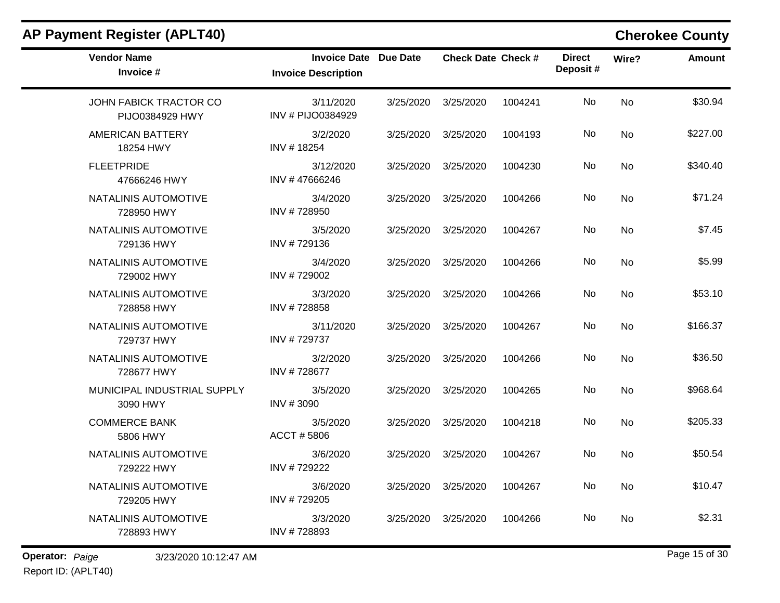| <b>Vendor Name</b><br>Invoice #           | <b>Invoice Date Due Date</b><br><b>Invoice Description</b> |           | <b>Check Date Check #</b> |         | <b>Direct</b><br>Deposit# | Wire?     | <b>Amount</b> |
|-------------------------------------------|------------------------------------------------------------|-----------|---------------------------|---------|---------------------------|-----------|---------------|
| JOHN FABICK TRACTOR CO<br>PIJO0384929 HWY | 3/11/2020<br>INV # PIJO0384929                             | 3/25/2020 | 3/25/2020                 | 1004241 | No                        | <b>No</b> | \$30.94       |
| <b>AMERICAN BATTERY</b><br>18254 HWY      | 3/2/2020<br>INV #18254                                     | 3/25/2020 | 3/25/2020                 | 1004193 | No                        | <b>No</b> | \$227.00      |
| <b>FLEETPRIDE</b><br>47666246 HWY         | 3/12/2020<br>INV #47666246                                 | 3/25/2020 | 3/25/2020                 | 1004230 | No                        | <b>No</b> | \$340.40      |
| NATALINIS AUTOMOTIVE<br>728950 HWY        | 3/4/2020<br>INV #728950                                    | 3/25/2020 | 3/25/2020                 | 1004266 | <b>No</b>                 | No        | \$71.24       |
| NATALINIS AUTOMOTIVE<br>729136 HWY        | 3/5/2020<br>INV #729136                                    | 3/25/2020 | 3/25/2020                 | 1004267 | No                        | <b>No</b> | \$7.45        |
| NATALINIS AUTOMOTIVE<br>729002 HWY        | 3/4/2020<br>INV #729002                                    | 3/25/2020 | 3/25/2020                 | 1004266 | No                        | No        | \$5.99        |
| NATALINIS AUTOMOTIVE<br>728858 HWY        | 3/3/2020<br>INV #728858                                    | 3/25/2020 | 3/25/2020                 | 1004266 | <b>No</b>                 | <b>No</b> | \$53.10       |
| NATALINIS AUTOMOTIVE<br>729737 HWY        | 3/11/2020<br>INV #729737                                   | 3/25/2020 | 3/25/2020                 | 1004267 | No                        | <b>No</b> | \$166.37      |
| NATALINIS AUTOMOTIVE<br>728677 HWY        | 3/2/2020<br>INV #728677                                    | 3/25/2020 | 3/25/2020                 | 1004266 | No                        | No        | \$36.50       |
| MUNICIPAL INDUSTRIAL SUPPLY<br>3090 HWY   | 3/5/2020<br>INV #3090                                      | 3/25/2020 | 3/25/2020                 | 1004265 | No                        | <b>No</b> | \$968.64      |
| <b>COMMERCE BANK</b><br>5806 HWY          | 3/5/2020<br>ACCT #5806                                     | 3/25/2020 | 3/25/2020                 | 1004218 | No.                       | <b>No</b> | \$205.33      |
| NATALINIS AUTOMOTIVE<br>729222 HWY        | 3/6/2020<br>INV #729222                                    | 3/25/2020 | 3/25/2020                 | 1004267 | No.                       | No        | \$50.54       |
| NATALINIS AUTOMOTIVE<br>729205 HWY        | 3/6/2020<br>INV #729205                                    | 3/25/2020 | 3/25/2020                 | 1004267 | No                        | <b>No</b> | \$10.47       |
| NATALINIS AUTOMOTIVE<br>728893 HWY        | 3/3/2020<br>INV #728893                                    | 3/25/2020 | 3/25/2020                 | 1004266 | No.                       | No        | \$2.31        |

**Operator:** *Paige* Page 15 of 30 3/23/2020 10:12:47 AM Report ID: (APLT40)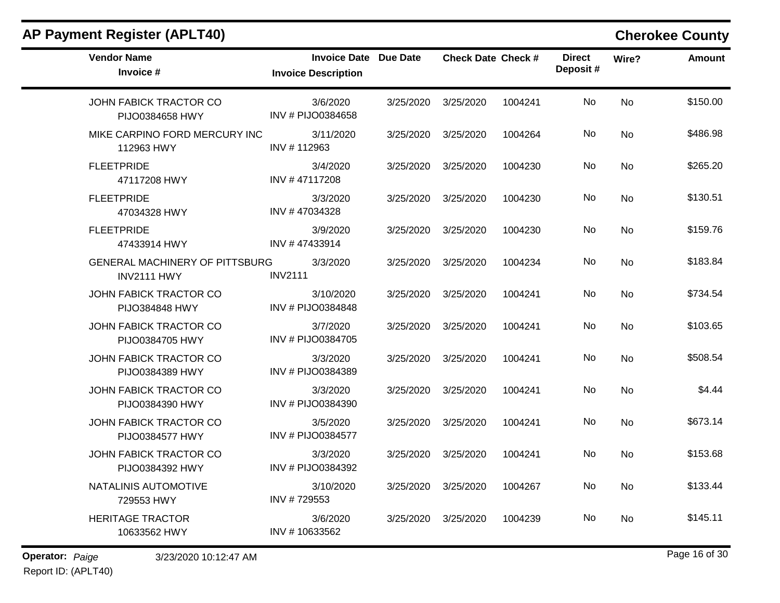|  |  |  | <b>AP Payment Register (APLT40)</b> |
|--|--|--|-------------------------------------|
|--|--|--|-------------------------------------|

### **Cherokee County**

| <b>Vendor Name</b><br>Invoice #                 | <b>Invoice Date Due Date</b><br><b>Invoice Description</b> |           | <b>Check Date Check #</b> |         | <b>Direct</b><br>Deposit# | Wire?     | <b>Amount</b> |
|-------------------------------------------------|------------------------------------------------------------|-----------|---------------------------|---------|---------------------------|-----------|---------------|
| JOHN FABICK TRACTOR CO<br>PIJO0384658 HWY       | 3/6/2020<br>INV # PIJO0384658                              | 3/25/2020 | 3/25/2020                 | 1004241 | No                        | <b>No</b> | \$150.00      |
| MIKE CARPINO FORD MERCURY INC<br>112963 HWY     | 3/11/2020<br>INV #112963                                   | 3/25/2020 | 3/25/2020                 | 1004264 | No                        | <b>No</b> | \$486.98      |
| <b>FLEETPRIDE</b><br>47117208 HWY               | 3/4/2020<br>INV #47117208                                  | 3/25/2020 | 3/25/2020                 | 1004230 | No                        | No        | \$265.20      |
| <b>FLEETPRIDE</b><br>47034328 HWY               | 3/3/2020<br>INV #47034328                                  | 3/25/2020 | 3/25/2020                 | 1004230 | No                        | No        | \$130.51      |
| <b>FLEETPRIDE</b><br>47433914 HWY               | 3/9/2020<br>INV #47433914                                  | 3/25/2020 | 3/25/2020                 | 1004230 | No                        | No        | \$159.76      |
| GENERAL MACHINERY OF PITTSBURG<br>INV2111 HWY   | 3/3/2020<br><b>INV2111</b>                                 | 3/25/2020 | 3/25/2020                 | 1004234 | No                        | No        | \$183.84      |
| JOHN FABICK TRACTOR CO<br><b>PIJO384848 HWY</b> | 3/10/2020<br>INV # PIJO0384848                             | 3/25/2020 | 3/25/2020                 | 1004241 | No                        | No        | \$734.54      |
| JOHN FABICK TRACTOR CO<br>PIJO0384705 HWY       | 3/7/2020<br>INV # PIJO0384705                              | 3/25/2020 | 3/25/2020                 | 1004241 | No                        | No        | \$103.65      |
| JOHN FABICK TRACTOR CO<br>PIJO0384389 HWY       | 3/3/2020<br>INV # PIJO0384389                              | 3/25/2020 | 3/25/2020                 | 1004241 | No                        | No        | \$508.54      |
| JOHN FABICK TRACTOR CO<br>PIJO0384390 HWY       | 3/3/2020<br>INV # PIJO0384390                              | 3/25/2020 | 3/25/2020                 | 1004241 | No                        | <b>No</b> | \$4.44        |
| JOHN FABICK TRACTOR CO<br>PIJO0384577 HWY       | 3/5/2020<br>INV # PIJO0384577                              | 3/25/2020 | 3/25/2020                 | 1004241 | No                        | <b>No</b> | \$673.14      |
| JOHN FABICK TRACTOR CO<br>PIJO0384392 HWY       | 3/3/2020<br>INV # PIJO0384392                              | 3/25/2020 | 3/25/2020                 | 1004241 | No                        | No        | \$153.68      |
| NATALINIS AUTOMOTIVE<br>729553 HWY              | 3/10/2020<br>INV #729553                                   | 3/25/2020 | 3/25/2020                 | 1004267 | No                        | No        | \$133.44      |
| <b>HERITAGE TRACTOR</b><br>10633562 HWY         | 3/6/2020<br>INV #10633562                                  | 3/25/2020 | 3/25/2020                 | 1004239 | No                        | No        | \$145.11      |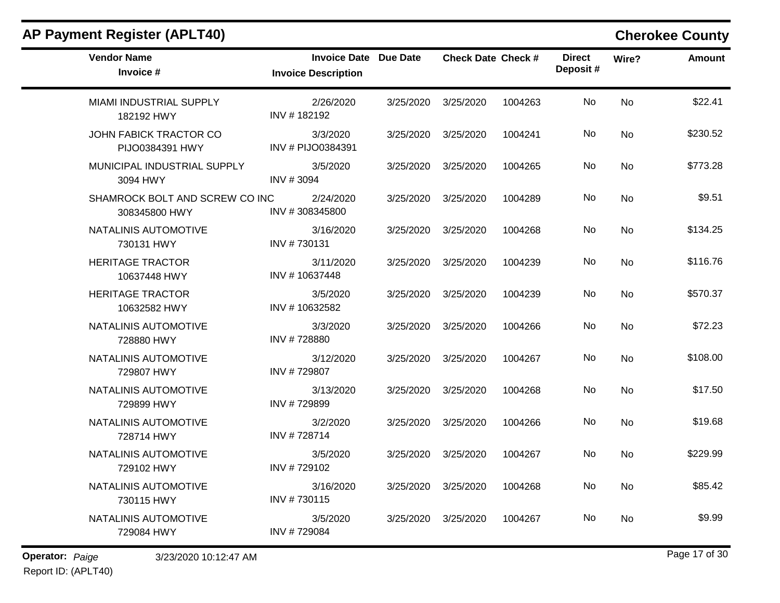| <b>Vendor Name</b><br>Invoice #                  | Invoice Date Due Date<br><b>Invoice Description</b> | <b>Check Date Check #</b> |         | <b>Direct</b><br>Deposit# | Wire?     | <b>Amount</b> |
|--------------------------------------------------|-----------------------------------------------------|---------------------------|---------|---------------------------|-----------|---------------|
| MIAMI INDUSTRIAL SUPPLY<br>182192 HWY            | 2/26/2020<br>INV #182192                            | 3/25/2020 3/25/2020       | 1004263 | No.                       | <b>No</b> | \$22.41       |
| <b>JOHN FABICK TRACTOR CO</b><br>PIJO0384391 HWY | 3/3/2020<br>INV # PIJO0384391                       | 3/25/2020 3/25/2020       | 1004241 | No                        | <b>No</b> | \$230.52      |
| MUNICIPAL INDUSTRIAL SUPPLY<br>3094 HWY          | 3/5/2020<br>INV #3094                               | 3/25/2020 3/25/2020       | 1004265 | No                        | <b>No</b> | \$773.28      |
| SHAMROCK BOLT AND SCREW CO INC<br>308345800 HWY  | 2/24/2020<br>INV #308345800                         | 3/25/2020 3/25/2020       | 1004289 | No                        | No        | \$9.51        |
| NATALINIS AUTOMOTIVE<br>730131 HWY               | 3/16/2020<br>INV #730131                            | 3/25/2020 3/25/2020       | 1004268 | No                        | <b>No</b> | \$134.25      |
| <b>HERITAGE TRACTOR</b><br>10637448 HWY          | 3/11/2020<br>INV #10637448                          | 3/25/2020 3/25/2020       | 1004239 | No.                       | No        | \$116.76      |
| <b>HERITAGE TRACTOR</b><br>10632582 HWY          | 3/5/2020<br>INV #10632582                           | 3/25/2020 3/25/2020       | 1004239 | No.                       | <b>No</b> | \$570.37      |
| NATALINIS AUTOMOTIVE<br>728880 HWY               | 3/3/2020<br>INV #728880                             | 3/25/2020 3/25/2020       | 1004266 | No.                       | No        | \$72.23       |
| NATALINIS AUTOMOTIVE<br>729807 HWY               | 3/12/2020<br>INV #729807                            | 3/25/2020 3/25/2020       | 1004267 | No                        | <b>No</b> | \$108.00      |
| NATALINIS AUTOMOTIVE<br>729899 HWY               | 3/13/2020<br>INV #729899                            | 3/25/2020 3/25/2020       | 1004268 | No.                       | No        | \$17.50       |
| NATALINIS AUTOMOTIVE<br>728714 HWY               | 3/2/2020<br>INV #728714                             | 3/25/2020 3/25/2020       | 1004266 | No                        | No        | \$19.68       |
| NATALINIS AUTOMOTIVE<br>729102 HWY               | 3/5/2020<br>INV #729102                             | 3/25/2020 3/25/2020       | 1004267 | No.                       | No        | \$229.99      |
| NATALINIS AUTOMOTIVE<br>730115 HWY               | 3/16/2020<br>INV #730115                            | 3/25/2020 3/25/2020       | 1004268 | No                        | No        | \$85.42       |
| NATALINIS AUTOMOTIVE<br>729084 HWY               | 3/5/2020<br>INV #729084                             | 3/25/2020 3/25/2020       | 1004267 | No.                       | No        | \$9.99        |
|                                                  |                                                     |                           |         |                           |           |               |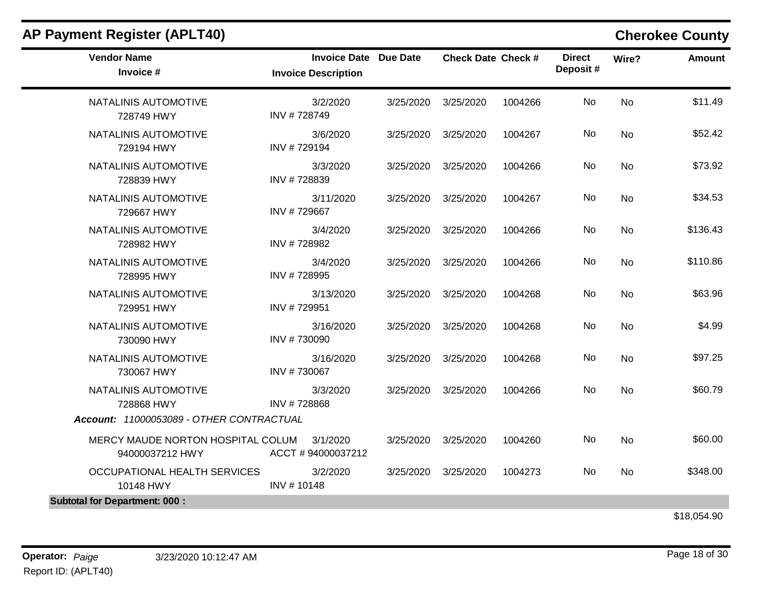| <b>Vendor Name</b><br>Invoice #                      | <b>Invoice Date Due Date</b><br><b>Invoice Description</b> |           | <b>Check Date Check #</b> |         | <b>Direct</b><br>Deposit# | Wire?     | <b>Amount</b> |
|------------------------------------------------------|------------------------------------------------------------|-----------|---------------------------|---------|---------------------------|-----------|---------------|
| NATALINIS AUTOMOTIVE<br>728749 HWY                   | 3/2/2020<br>INV #728749                                    | 3/25/2020 | 3/25/2020                 | 1004266 | No                        | <b>No</b> | \$11.49       |
| NATALINIS AUTOMOTIVE<br>729194 HWY                   | 3/6/2020<br>INV #729194                                    | 3/25/2020 | 3/25/2020                 | 1004267 | No                        | No        | \$52.42       |
| NATALINIS AUTOMOTIVE<br>728839 HWY                   | 3/3/2020<br>INV #728839                                    | 3/25/2020 | 3/25/2020                 | 1004266 | No                        | <b>No</b> | \$73.92       |
| NATALINIS AUTOMOTIVE<br>729667 HWY                   | 3/11/2020<br>INV #729667                                   | 3/25/2020 | 3/25/2020                 | 1004267 | No                        | <b>No</b> | \$34.53       |
| NATALINIS AUTOMOTIVE<br>728982 HWY                   | 3/4/2020<br>INV #728982                                    | 3/25/2020 | 3/25/2020                 | 1004266 | No                        | <b>No</b> | \$136.43      |
| NATALINIS AUTOMOTIVE<br>728995 HWY                   | 3/4/2020<br>INV #728995                                    | 3/25/2020 | 3/25/2020                 | 1004266 | No                        | <b>No</b> | \$110.86      |
| NATALINIS AUTOMOTIVE<br>729951 HWY                   | 3/13/2020<br>INV #729951                                   | 3/25/2020 | 3/25/2020                 | 1004268 | No                        | <b>No</b> | \$63.96       |
| NATALINIS AUTOMOTIVE<br>730090 HWY                   | 3/16/2020<br>INV #730090                                   | 3/25/2020 | 3/25/2020                 | 1004268 | No                        | <b>No</b> | \$4.99        |
| NATALINIS AUTOMOTIVE<br>730067 HWY                   | 3/16/2020<br>INV #730067                                   | 3/25/2020 | 3/25/2020                 | 1004268 | No                        | <b>No</b> | \$97.25       |
| NATALINIS AUTOMOTIVE<br>728868 HWY                   | 3/3/2020<br>INV #728868                                    | 3/25/2020 | 3/25/2020                 | 1004266 | No                        | <b>No</b> | \$60.79       |
| Account: 11000053089 - OTHER CONTRACTUAL             |                                                            |           |                           |         |                           |           |               |
| MERCY MAUDE NORTON HOSPITAL COLUM<br>94000037212 HWY | 3/1/2020<br>ACCT #94000037212                              | 3/25/2020 | 3/25/2020                 | 1004260 | No                        | No        | \$60.00       |
| OCCUPATIONAL HEALTH SERVICES<br>10148 HWY            | 3/2/2020<br>INV #10148                                     | 3/25/2020 | 3/25/2020                 | 1004273 | No                        | <b>No</b> | \$348.00      |
| <b>Subtotal for Department: 000:</b>                 |                                                            |           |                           |         |                           |           |               |
|                                                      |                                                            |           |                           |         |                           |           | \$18,054.90   |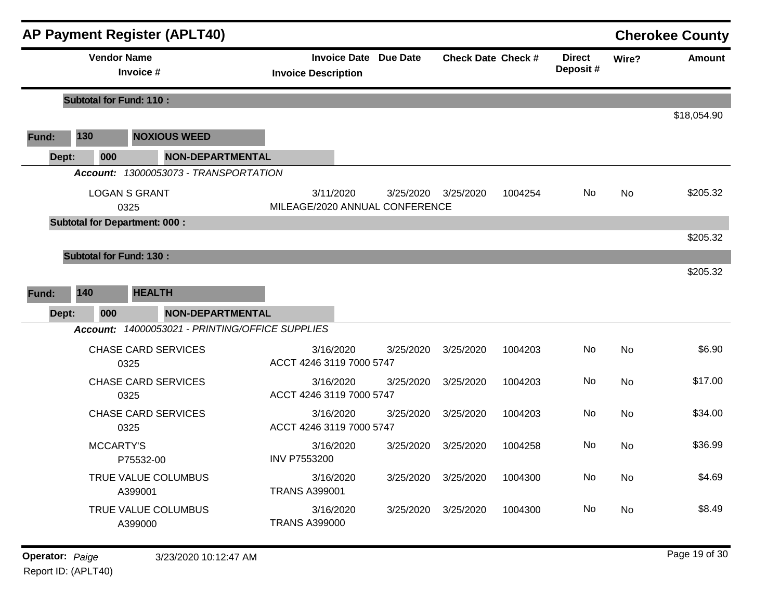|       |                                | <b>AP Payment Register (APLT40)</b>             |                                                            |           |                           |         |                           |           | <b>Cherokee County</b> |
|-------|--------------------------------|-------------------------------------------------|------------------------------------------------------------|-----------|---------------------------|---------|---------------------------|-----------|------------------------|
|       | <b>Vendor Name</b>             | Invoice #                                       | <b>Invoice Date Due Date</b><br><b>Invoice Description</b> |           | <b>Check Date Check #</b> |         | <b>Direct</b><br>Deposit# | Wire?     | <b>Amount</b>          |
|       | <b>Subtotal for Fund: 110:</b> |                                                 |                                                            |           |                           |         |                           |           |                        |
|       |                                |                                                 |                                                            |           |                           |         |                           |           | \$18,054.90            |
| Fund: | 130                            | <b>NOXIOUS WEED</b>                             |                                                            |           |                           |         |                           |           |                        |
| Dept: | 000                            | <b>NON-DEPARTMENTAL</b>                         |                                                            |           |                           |         |                           |           |                        |
|       |                                | Account: 13000053073 - TRANSPORTATION           |                                                            |           |                           |         |                           |           |                        |
|       |                                | <b>LOGAN S GRANT</b><br>0325                    | 3/11/2020<br>MILEAGE/2020 ANNUAL CONFERENCE                | 3/25/2020 | 3/25/2020                 | 1004254 | No.                       | <b>No</b> | \$205.32               |
|       |                                | <b>Subtotal for Department: 000:</b>            |                                                            |           |                           |         |                           |           | \$205.32               |
|       | <b>Subtotal for Fund: 130:</b> |                                                 |                                                            |           |                           |         |                           |           |                        |
|       |                                |                                                 |                                                            |           |                           |         |                           |           | \$205.32               |
| Fund: | 140                            | <b>HEALTH</b>                                   |                                                            |           |                           |         |                           |           |                        |
| Dept: | 000                            | <b>NON-DEPARTMENTAL</b>                         |                                                            |           |                           |         |                           |           |                        |
|       |                                | Account: 14000053021 - PRINTING/OFFICE SUPPLIES |                                                            |           |                           |         |                           |           |                        |
|       |                                | <b>CHASE CARD SERVICES</b><br>0325              | 3/16/2020<br>ACCT 4246 3119 7000 5747                      | 3/25/2020 | 3/25/2020                 | 1004203 | No                        | <b>No</b> | \$6.90                 |
|       |                                | <b>CHASE CARD SERVICES</b><br>0325              | 3/16/2020<br>ACCT 4246 3119 7000 5747                      | 3/25/2020 | 3/25/2020                 | 1004203 | No                        | <b>No</b> | \$17.00                |
|       |                                | <b>CHASE CARD SERVICES</b><br>0325              | 3/16/2020<br>ACCT 4246 3119 7000 5747                      | 3/25/2020 | 3/25/2020                 | 1004203 | <b>No</b>                 | <b>No</b> | \$34.00                |
|       | <b>MCCARTY'S</b>               | P75532-00                                       | 3/16/2020<br><b>INV P7553200</b>                           | 3/25/2020 | 3/25/2020                 | 1004258 | No.                       | No.       | \$36.99                |
|       |                                | TRUE VALUE COLUMBUS<br>A399001                  | 3/16/2020<br><b>TRANS A399001</b>                          | 3/25/2020 | 3/25/2020                 | 1004300 | No                        | No        | \$4.69                 |
|       |                                | TRUE VALUE COLUMBUS<br>A399000                  | 3/16/2020<br><b>TRANS A399000</b>                          | 3/25/2020 | 3/25/2020                 | 1004300 | No                        | No        | \$8.49                 |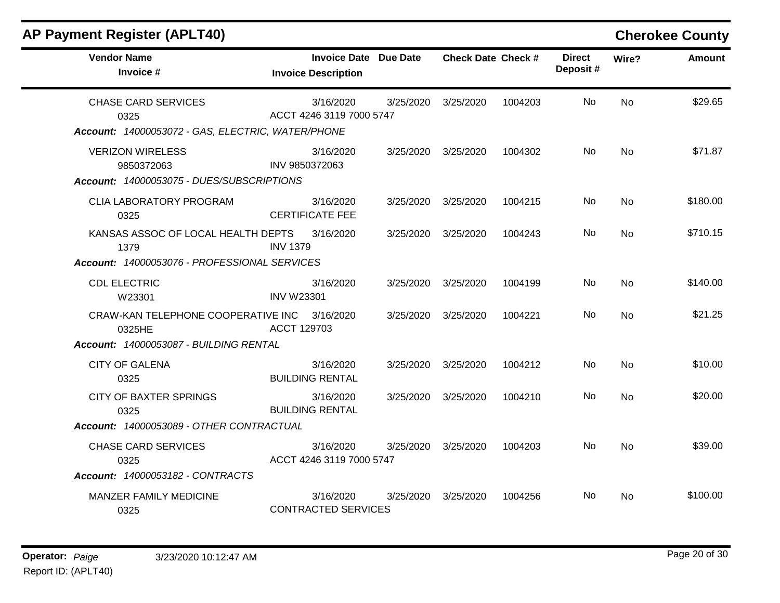| <b>AP Payment Register (APLT40)</b>                                                              |                                                            |           |                           |         |                           |           | <b>Cherokee County</b> |
|--------------------------------------------------------------------------------------------------|------------------------------------------------------------|-----------|---------------------------|---------|---------------------------|-----------|------------------------|
| <b>Vendor Name</b><br>Invoice #                                                                  | <b>Invoice Date Due Date</b><br><b>Invoice Description</b> |           | <b>Check Date Check #</b> |         | <b>Direct</b><br>Deposit# | Wire?     | <b>Amount</b>          |
| <b>CHASE CARD SERVICES</b><br>0325<br>Account: 14000053072 - GAS, ELECTRIC, WATER/PHONE          | 3/16/2020<br>ACCT 4246 3119 7000 5747                      | 3/25/2020 | 3/25/2020                 | 1004203 | No.                       | <b>No</b> | \$29.65                |
| <b>VERIZON WIRELESS</b><br>9850372063<br>Account: 14000053075 - DUES/SUBSCRIPTIONS               | 3/16/2020<br>INV 9850372063                                |           | 3/25/2020 3/25/2020       | 1004302 | No                        | <b>No</b> | \$71.87                |
| <b>CLIA LABORATORY PROGRAM</b><br>0325                                                           | 3/16/2020<br><b>CERTIFICATE FEE</b>                        | 3/25/2020 | 3/25/2020                 | 1004215 | No                        | <b>No</b> | \$180.00               |
| KANSAS ASSOC OF LOCAL HEALTH DEPTS<br>1379<br>Account: 14000053076 - PROFESSIONAL SERVICES       | 3/16/2020<br><b>INV 1379</b>                               |           | 3/25/2020 3/25/2020       | 1004243 | No.                       | <b>No</b> | \$710.15               |
| <b>CDL ELECTRIC</b><br>W23301                                                                    | 3/16/2020<br><b>INV W23301</b>                             |           | 3/25/2020 3/25/2020       | 1004199 | No.                       | <b>No</b> | \$140.00               |
| CRAW-KAN TELEPHONE COOPERATIVE INC 3/16/2020<br>0325HE<br>Account: 14000053087 - BUILDING RENTAL | ACCT 129703                                                | 3/25/2020 | 3/25/2020                 | 1004221 | No.                       | No        | \$21.25                |
| <b>CITY OF GALENA</b><br>0325                                                                    | 3/16/2020<br><b>BUILDING RENTAL</b>                        |           | 3/25/2020 3/25/2020       | 1004212 | No                        | <b>No</b> | \$10.00                |
| <b>CITY OF BAXTER SPRINGS</b><br>0325                                                            | 3/16/2020<br><b>BUILDING RENTAL</b>                        |           | 3/25/2020 3/25/2020       | 1004210 | No                        | <b>No</b> | \$20.00                |
| Account: 14000053089 - OTHER CONTRACTUAL                                                         |                                                            |           |                           |         |                           |           |                        |
| <b>CHASE CARD SERVICES</b><br>0325                                                               | 3/16/2020<br>ACCT 4246 3119 7000 5747                      | 3/25/2020 | 3/25/2020                 | 1004203 | No                        | No        | \$39.00                |
| Account: 14000053182 - CONTRACTS                                                                 |                                                            |           |                           |         |                           |           |                        |
| MANZER FAMILY MEDICINE<br>0325                                                                   | 3/16/2020<br>CONTRACTED SERVICES                           | 3/25/2020 | 3/25/2020                 | 1004256 | No.                       | No        | \$100.00               |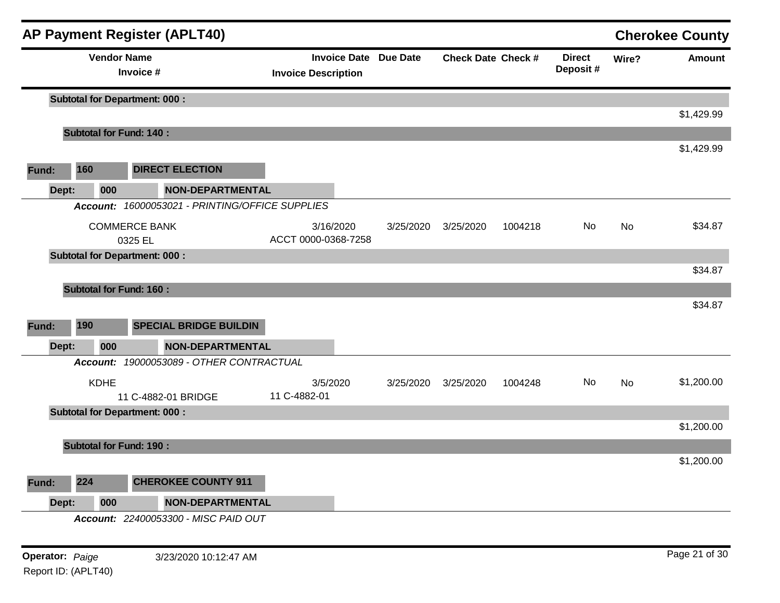|       |                                      |             | <b>AP Payment Register (APLT40)</b>             |                            |                              |                           |         |                           |         | <b>Cherokee County</b> |
|-------|--------------------------------------|-------------|-------------------------------------------------|----------------------------|------------------------------|---------------------------|---------|---------------------------|---------|------------------------|
|       |                                      |             | <b>Vendor Name</b><br>Invoice #                 | <b>Invoice Description</b> | <b>Invoice Date Due Date</b> | <b>Check Date Check #</b> |         | <b>Direct</b><br>Deposit# | Wire?   | <b>Amount</b>          |
|       |                                      |             | <b>Subtotal for Department: 000:</b>            |                            |                              |                           |         |                           |         |                        |
|       |                                      |             |                                                 |                            |                              |                           |         |                           |         | \$1,429.99             |
|       |                                      |             | <b>Subtotal for Fund: 140:</b>                  |                            |                              |                           |         |                           |         |                        |
| Fund: | 160                                  |             | <b>DIRECT ELECTION</b>                          |                            |                              |                           |         |                           |         | \$1,429.99             |
| Dept: |                                      | 000         | <b>NON-DEPARTMENTAL</b>                         |                            |                              |                           |         |                           |         |                        |
|       |                                      |             | Account: 16000053021 - PRINTING/OFFICE SUPPLIES |                            |                              |                           |         |                           |         |                        |
|       | <b>COMMERCE BANK</b><br>0325 EL      |             | 3/16/2020<br>ACCT 0000-0368-7258                | 3/25/2020                  | 3/25/2020                    | 1004218                   | No      | No                        | \$34.87 |                        |
|       | <b>Subtotal for Department: 000:</b> |             |                                                 |                            |                              |                           |         |                           |         |                        |
|       |                                      |             |                                                 |                            |                              |                           |         |                           |         | \$34.87                |
|       |                                      |             | <b>Subtotal for Fund: 160:</b>                  |                            |                              |                           |         |                           |         |                        |
|       |                                      |             |                                                 |                            |                              |                           |         |                           |         | \$34.87                |
| Fund: | 190                                  |             | <b>SPECIAL BRIDGE BUILDIN</b>                   |                            |                              |                           |         |                           |         |                        |
| Dept: |                                      | 000         | <b>NON-DEPARTMENTAL</b>                         |                            |                              |                           |         |                           |         |                        |
|       | <b>Account:</b>                      |             | 19000053089 - OTHER CONTRACTUAL                 |                            |                              |                           |         |                           |         |                        |
|       |                                      | <b>KDHE</b> | 11 C-4882-01 BRIDGE                             | 3/5/2020<br>11 C-4882-01   | 3/25/2020                    | 3/25/2020                 | 1004248 | No                        | No      | \$1,200.00             |
|       |                                      |             | <b>Subtotal for Department: 000:</b>            |                            |                              |                           |         |                           |         |                        |
|       |                                      |             |                                                 |                            |                              |                           |         |                           |         | \$1,200.00             |
|       |                                      |             | <b>Subtotal for Fund: 190:</b>                  |                            |                              |                           |         |                           |         |                        |
|       |                                      |             |                                                 |                            |                              |                           |         |                           |         | \$1,200.00             |
| Fund: | 224                                  |             | <b>CHEROKEE COUNTY 911</b>                      |                            |                              |                           |         |                           |         |                        |
| Dept: |                                      | 000         | <b>NON-DEPARTMENTAL</b>                         |                            |                              |                           |         |                           |         |                        |
|       |                                      |             | Account: 22400053300 - MISC PAID OUT            |                            |                              |                           |         |                           |         |                        |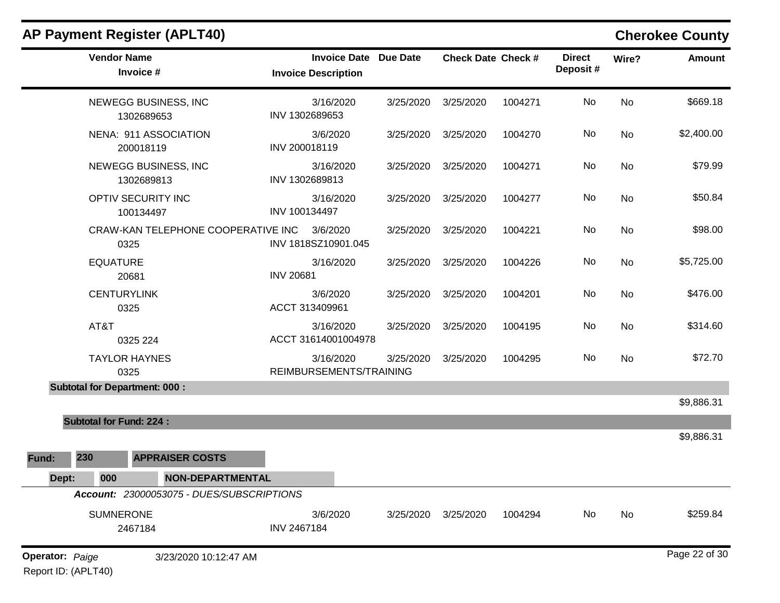|                                               | <b>Vendor Name</b><br>Invoice #      |                                           | <b>Invoice Description</b>           | <b>Invoice Date Due Date</b> | <b>Check Date Check #</b> |         | <b>Direct</b><br>Deposit# | Wire?     | <b>Amount</b> |
|-----------------------------------------------|--------------------------------------|-------------------------------------------|--------------------------------------|------------------------------|---------------------------|---------|---------------------------|-----------|---------------|
|                                               |                                      | NEWEGG BUSINESS, INC<br>1302689653        | 3/16/2020<br>INV 1302689653          | 3/25/2020                    | 3/25/2020                 | 1004271 | No                        | No        | \$669.18      |
|                                               | 200018119                            | NENA: 911 ASSOCIATION                     | 3/6/2020<br>INV 200018119            | 3/25/2020                    | 3/25/2020                 | 1004270 | No                        | No        | \$2,400.00    |
|                                               |                                      | NEWEGG BUSINESS, INC<br>1302689813        | 3/16/2020<br>INV 1302689813          | 3/25/2020                    | 3/25/2020                 | 1004271 | No                        | No        | \$79.99       |
|                                               | OPTIV SECURITY INC<br>100134497      |                                           | 3/16/2020<br>INV 100134497           | 3/25/2020                    | 3/25/2020                 | 1004277 | No                        | No        | \$50.84       |
|                                               | 0325                                 | CRAW-KAN TELEPHONE COOPERATIVE INC        | 3/6/2020<br>INV 1818SZ10901.045      | 3/25/2020                    | 3/25/2020                 | 1004221 | No                        | No        | \$98.00       |
|                                               | <b>EQUATURE</b><br>20681             |                                           | 3/16/2020<br><b>INV 20681</b>        | 3/25/2020                    | 3/25/2020                 | 1004226 | No                        | No        | \$5,725.00    |
|                                               | <b>CENTURYLINK</b><br>0325           |                                           | 3/6/2020<br>ACCT 313409961           | 3/25/2020                    | 3/25/2020                 | 1004201 | No                        | No        | \$476.00      |
|                                               | AT&T<br>0325 224                     |                                           | 3/16/2020<br>ACCT 31614001004978     | 3/25/2020                    | 3/25/2020                 | 1004195 | No                        | No        | \$314.60      |
|                                               | <b>TAYLOR HAYNES</b><br>0325         |                                           | 3/16/2020<br>REIMBURSEMENTS/TRAINING | 3/25/2020                    | 3/25/2020                 | 1004295 | No                        | <b>No</b> | \$72.70       |
|                                               | <b>Subtotal for Department: 000:</b> |                                           |                                      |                              |                           |         |                           |           |               |
|                                               |                                      |                                           |                                      |                              |                           |         |                           |           | \$9,886.31    |
|                                               | <b>Subtotal for Fund: 224:</b>       |                                           |                                      |                              |                           |         |                           |           |               |
|                                               |                                      |                                           |                                      |                              |                           |         |                           |           | \$9,886.31    |
| Fund:                                         | 230                                  | <b>APPRAISER COSTS</b>                    |                                      |                              |                           |         |                           |           |               |
| Dept:                                         | 000                                  | NON-DEPARTMENTAL                          |                                      |                              |                           |         |                           |           |               |
|                                               |                                      | Account: 23000053075 - DUES/SUBSCRIPTIONS |                                      |                              |                           |         |                           |           |               |
|                                               | <b>SUMNERONE</b><br>2467184          |                                           | 3/6/2020<br>INV 2467184              | 3/25/2020                    | 3/25/2020                 | 1004294 | No                        | No        | \$259.84      |
| <b>Operator: Paige</b><br>Report ID: (APLT40) |                                      | 3/23/2020 10:12:47 AM                     |                                      |                              |                           |         |                           |           | Page 22 of 30 |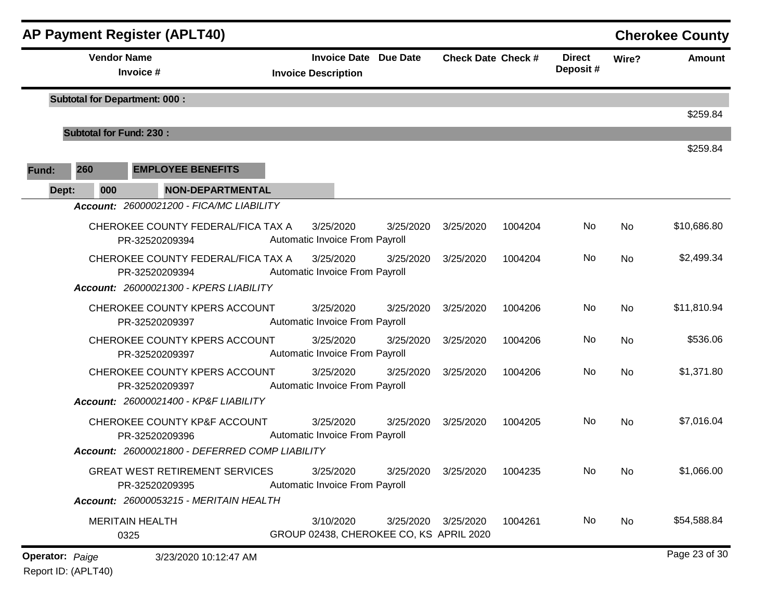|                        | <b>AP Payment Register (APLT40)</b><br><b>Cherokee County</b> |                                                                                                   |  |                                                            |           |                           |         |                           |           |               |
|------------------------|---------------------------------------------------------------|---------------------------------------------------------------------------------------------------|--|------------------------------------------------------------|-----------|---------------------------|---------|---------------------------|-----------|---------------|
|                        | <b>Vendor Name</b><br>Invoice #                               |                                                                                                   |  | <b>Invoice Date Due Date</b><br><b>Invoice Description</b> |           | <b>Check Date Check #</b> |         | <b>Direct</b><br>Deposit# | Wire?     | <b>Amount</b> |
|                        |                                                               | <b>Subtotal for Department: 000:</b>                                                              |  |                                                            |           |                           |         |                           |           | \$259.84      |
|                        | <b>Subtotal for Fund: 230:</b>                                |                                                                                                   |  |                                                            |           |                           |         |                           |           |               |
| Fund:                  | 260                                                           | <b>EMPLOYEE BENEFITS</b>                                                                          |  |                                                            |           |                           |         |                           |           | \$259.84      |
| Dept:                  | 000                                                           | NON-DEPARTMENTAL                                                                                  |  |                                                            |           |                           |         |                           |           |               |
|                        |                                                               | Account: 26000021200 - FICA/MC LIABILITY                                                          |  |                                                            |           |                           |         |                           |           |               |
|                        |                                                               | CHEROKEE COUNTY FEDERAL/FICA TAX A<br>PR-32520209394                                              |  | 3/25/2020<br>Automatic Invoice From Payroll                | 3/25/2020 | 3/25/2020                 | 1004204 | No                        | <b>No</b> | \$10,686.80   |
|                        |                                                               | CHEROKEE COUNTY FEDERAL/FICA TAX A<br>PR-32520209394<br>Account: 26000021300 - KPERS LIABILITY    |  | 3/25/2020<br>Automatic Invoice From Payroll                | 3/25/2020 | 3/25/2020                 | 1004204 | No.                       | <b>No</b> | \$2,499.34    |
|                        |                                                               | CHEROKEE COUNTY KPERS ACCOUNT<br>PR-32520209397                                                   |  | 3/25/2020<br>Automatic Invoice From Payroll                | 3/25/2020 | 3/25/2020                 | 1004206 | No                        | <b>No</b> | \$11,810.94   |
|                        |                                                               | CHEROKEE COUNTY KPERS ACCOUNT<br>PR-32520209397                                                   |  | 3/25/2020<br>Automatic Invoice From Payroll                | 3/25/2020 | 3/25/2020                 | 1004206 | No                        | <b>No</b> | \$536.06      |
|                        |                                                               | CHEROKEE COUNTY KPERS ACCOUNT<br>PR-32520209397<br>Account: 26000021400 - KP&F LIABILITY          |  | 3/25/2020<br>Automatic Invoice From Payroll                | 3/25/2020 | 3/25/2020                 | 1004206 | No                        | <b>No</b> | \$1,371.80    |
|                        |                                                               | CHEROKEE COUNTY KP&F ACCOUNT<br>PR-32520209396<br>Account: 26000021800 - DEFERRED COMP LIABILITY  |  | 3/25/2020<br>Automatic Invoice From Payroll                | 3/25/2020 | 3/25/2020                 | 1004205 | No.                       | <b>No</b> | \$7,016.04    |
|                        |                                                               | <b>GREAT WEST RETIREMENT SERVICES</b><br>PR-32520209395<br>Account: 26000053215 - MERITAIN HEALTH |  | 3/25/2020<br>Automatic Invoice From Payroll                | 3/25/2020 | 3/25/2020                 | 1004235 | No                        | No        | \$1,066.00    |
|                        |                                                               | <b>MERITAIN HEALTH</b><br>0325                                                                    |  | 3/10/2020<br>GROUP 02438, CHEROKEE CO, KS APRIL 2020       | 3/25/2020 | 3/25/2020                 | 1004261 | No                        | No        | \$54,588.84   |
| <b>Operator: Paige</b> |                                                               | 3/23/2020 10:12:47 AM                                                                             |  |                                                            |           |                           |         |                           |           | Page 23 of 30 |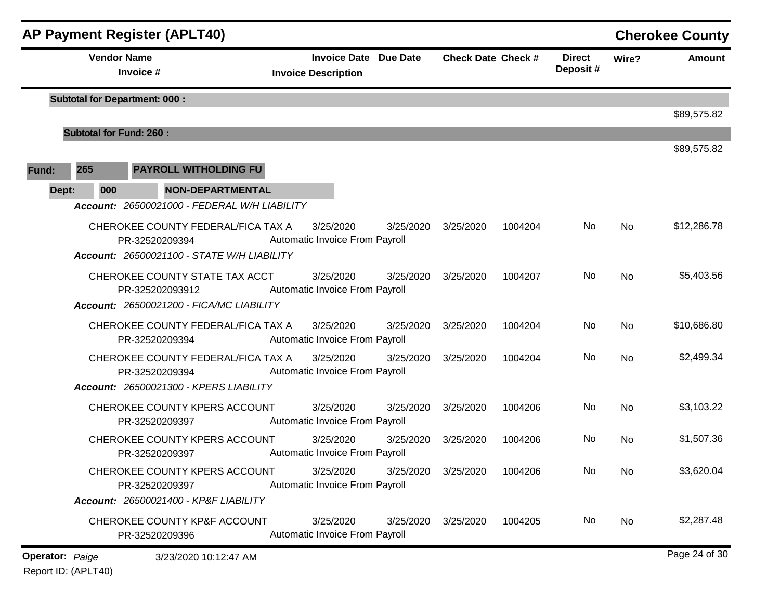|       |                                | <b>AP Payment Register (APLT40)</b>                                                                |                                                            |           |                           |         |                                                                                       |       | <b>Cherokee County</b> |
|-------|--------------------------------|----------------------------------------------------------------------------------------------------|------------------------------------------------------------|-----------|---------------------------|---------|---------------------------------------------------------------------------------------|-------|------------------------|
|       | <b>Vendor Name</b>             | Invoice #                                                                                          | <b>Invoice Date Due Date</b><br><b>Invoice Description</b> |           | <b>Check Date Check #</b> |         | <b>Direct</b><br>Deposit#                                                             | Wire? | <b>Amount</b>          |
|       |                                | <b>Subtotal for Department: 000:</b>                                                               |                                                            |           |                           |         | No<br>No<br>No.<br><b>No</b><br>No<br><b>No</b><br>No<br><b>No</b><br>No<br><b>No</b> |       | \$89,575.82            |
|       | <b>Subtotal for Fund: 260:</b> |                                                                                                    |                                                            |           |                           |         |                                                                                       |       |                        |
| Fund: | 265                            | PAYROLL WITHOLDING FU                                                                              |                                                            |           |                           |         |                                                                                       |       | \$89,575.82            |
|       | 000                            | NON-DEPARTMENTAL                                                                                   |                                                            |           |                           |         |                                                                                       |       |                        |
|       | Dept:                          | Account: 26500021000 - FEDERAL W/H LIABILITY                                                       |                                                            |           |                           |         |                                                                                       |       |                        |
|       |                                | CHEROKEE COUNTY FEDERAL/FICA TAX A<br>PR-32520209394<br>Account: 26500021100 - STATE W/H LIABILITY | 3/25/2020<br>Automatic Invoice From Payroll                | 3/25/2020 | 3/25/2020                 | 1004204 |                                                                                       |       | \$12,286.78            |
|       |                                | CHEROKEE COUNTY STATE TAX ACCT<br>PR-325202093912<br>Account: 26500021200 - FICA/MC LIABILITY      | 3/25/2020<br>Automatic Invoice From Payroll                | 3/25/2020 | 3/25/2020                 | 1004207 |                                                                                       |       | \$5,403.56             |
|       |                                | CHEROKEE COUNTY FEDERAL/FICA TAX A<br>PR-32520209394                                               | 3/25/2020<br>Automatic Invoice From Payroll                | 3/25/2020 | 3/25/2020                 | 1004204 |                                                                                       |       | \$10,686.80            |
|       |                                | CHEROKEE COUNTY FEDERAL/FICA TAX A<br>PR-32520209394<br>Account: 26500021300 - KPERS LIABILITY     | 3/25/2020<br>Automatic Invoice From Payroll                | 3/25/2020 | 3/25/2020                 | 1004204 |                                                                                       |       | \$2,499.34             |
|       |                                | CHEROKEE COUNTY KPERS ACCOUNT<br>PR-32520209397                                                    | 3/25/2020<br>Automatic Invoice From Payroll                | 3/25/2020 | 3/25/2020                 | 1004206 |                                                                                       |       | \$3,103.22             |
|       |                                | CHEROKEE COUNTY KPERS ACCOUNT<br>PR-32520209397                                                    | 3/25/2020<br>Automatic Invoice From Payroll                | 3/25/2020 | 3/25/2020                 | 1004206 | No                                                                                    | No    | \$1,507.36             |
|       |                                | CHEROKEE COUNTY KPERS ACCOUNT<br>PR-32520209397                                                    | 3/25/2020<br>Automatic Invoice From Payroll                | 3/25/2020 | 3/25/2020                 | 1004206 | No                                                                                    | No    | \$3,620.04             |
|       |                                | Account: 26500021400 - KP&F LIABILITY                                                              |                                                            |           |                           |         |                                                                                       |       |                        |
|       |                                | <b>CHEROKEE COUNTY KP&amp;F ACCOUNT</b><br>PR-32520209396                                          | 3/25/2020<br>Automatic Invoice From Payroll                | 3/25/2020 | 3/25/2020                 | 1004205 | No                                                                                    | No    | \$2,287.48             |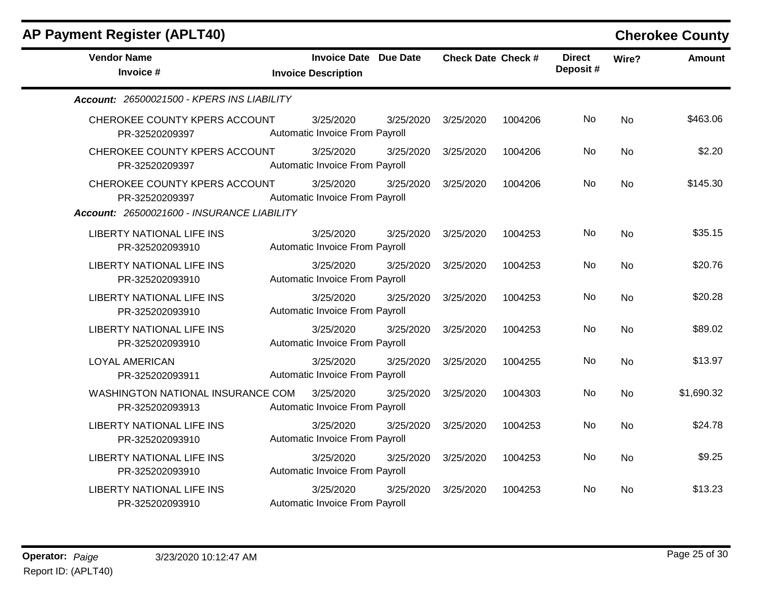| <b>Vendor Name</b><br>Invoice #                                                               | <b>Invoice Date</b><br><b>Invoice Description</b>  | <b>Due Date</b> | <b>Check Date Check #</b> |         | <b>Direct</b><br>Deposit# | Wire?     | <b>Amount</b> |
|-----------------------------------------------------------------------------------------------|----------------------------------------------------|-----------------|---------------------------|---------|---------------------------|-----------|---------------|
| Account: 26500021500 - KPERS INS LIABILITY                                                    |                                                    |                 |                           |         |                           |           |               |
| CHEROKEE COUNTY KPERS ACCOUNT<br>PR-32520209397                                               | 3/25/2020<br>Automatic Invoice From Payroll        | 3/25/2020       | 3/25/2020                 | 1004206 | No                        | <b>No</b> | \$463.06      |
| CHEROKEE COUNTY KPERS ACCOUNT<br>PR-32520209397                                               | 3/25/2020<br>Automatic Invoice From Payroll        | 3/25/2020       | 3/25/2020                 | 1004206 | No.                       | <b>No</b> | \$2.20        |
| CHEROKEE COUNTY KPERS ACCOUNT<br>PR-32520209397<br>Account: 26500021600 - INSURANCE LIABILITY | 3/25/2020<br>Automatic Invoice From Payroll        | 3/25/2020       | 3/25/2020                 | 1004206 | No                        | <b>No</b> | \$145.30      |
| <b>LIBERTY NATIONAL LIFE INS</b><br>PR-325202093910                                           | 3/25/2020<br>Automatic Invoice From Payroll        | 3/25/2020       | 3/25/2020                 | 1004253 | No                        | <b>No</b> | \$35.15       |
| <b>LIBERTY NATIONAL LIFE INS</b><br>PR-325202093910                                           | 3/25/2020<br>Automatic Invoice From Payroll        | 3/25/2020       | 3/25/2020                 | 1004253 | No                        | <b>No</b> | \$20.76       |
| <b>LIBERTY NATIONAL LIFE INS</b><br>PR-325202093910                                           | 3/25/2020<br>Automatic Invoice From Payroll        | 3/25/2020       | 3/25/2020                 | 1004253 | No                        | <b>No</b> | \$20.28       |
| <b>LIBERTY NATIONAL LIFE INS</b><br>PR-325202093910                                           | 3/25/2020<br>Automatic Invoice From Payroll        | 3/25/2020       | 3/25/2020                 | 1004253 | No                        | <b>No</b> | \$89.02       |
| <b>LOYAL AMERICAN</b><br>PR-325202093911                                                      | 3/25/2020<br>Automatic Invoice From Payroll        | 3/25/2020       | 3/25/2020                 | 1004255 | No                        | <b>No</b> | \$13.97       |
| <b>WASHINGTON NATIONAL INSURANCE COM</b><br>PR-325202093913                                   | 3/25/2020<br>Automatic Invoice From Payroll        | 3/25/2020       | 3/25/2020                 | 1004303 | No                        | <b>No</b> | \$1,690.32    |
| <b>LIBERTY NATIONAL LIFE INS</b><br>PR-325202093910                                           | 3/25/2020<br>Automatic Invoice From Payroll        | 3/25/2020       | 3/25/2020                 | 1004253 | No                        | <b>No</b> | \$24.78       |
| <b>LIBERTY NATIONAL LIFE INS</b><br>PR-325202093910                                           | 3/25/2020<br>Automatic Invoice From Payroll        | 3/25/2020       | 3/25/2020                 | 1004253 | No                        | <b>No</b> | \$9.25        |
| <b>LIBERTY NATIONAL LIFE INS</b><br>PR-325202093910                                           | 3/25/2020<br><b>Automatic Invoice From Payroll</b> | 3/25/2020       | 3/25/2020                 | 1004253 | No                        | No        | \$13.23       |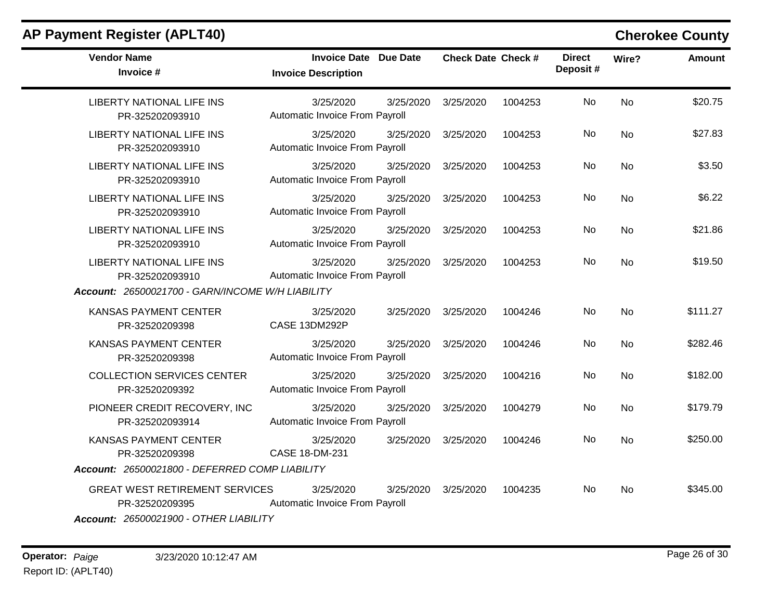| <b>Vendor Name</b><br>Invoice #                                                                          | <b>Invoice Date Due Date</b><br><b>Invoice Description</b> | <b>Check Date Check #</b> |         | <b>Direct</b><br>Deposit# | Wire?     | <b>Amount</b> |
|----------------------------------------------------------------------------------------------------------|------------------------------------------------------------|---------------------------|---------|---------------------------|-----------|---------------|
| <b>LIBERTY NATIONAL LIFE INS</b><br>PR-325202093910                                                      | 3/25/2020<br>3/25/2020<br>Automatic Invoice From Payroll   | 3/25/2020                 | 1004253 | No                        | <b>No</b> | \$20.75       |
| <b>LIBERTY NATIONAL LIFE INS</b><br>PR-325202093910                                                      | 3/25/2020<br>3/25/2020<br>Automatic Invoice From Payroll   | 3/25/2020                 | 1004253 | No                        | <b>No</b> | \$27.83       |
| <b>LIBERTY NATIONAL LIFE INS</b><br>PR-325202093910                                                      | 3/25/2020<br>3/25/2020<br>Automatic Invoice From Payroll   | 3/25/2020                 | 1004253 | No                        | <b>No</b> | \$3.50        |
| <b>LIBERTY NATIONAL LIFE INS</b><br>PR-325202093910                                                      | 3/25/2020<br>3/25/2020<br>Automatic Invoice From Payroll   | 3/25/2020                 | 1004253 | No                        | <b>No</b> | \$6.22        |
| <b>LIBERTY NATIONAL LIFE INS</b><br>PR-325202093910                                                      | 3/25/2020<br>3/25/2020<br>Automatic Invoice From Payroll   | 3/25/2020                 | 1004253 | No                        | No        | \$21.86       |
| <b>LIBERTY NATIONAL LIFE INS</b><br>PR-325202093910                                                      | 3/25/2020<br>3/25/2020<br>Automatic Invoice From Payroll   | 3/25/2020                 | 1004253 | No                        | <b>No</b> | \$19.50       |
| Account: 26500021700 - GARN/INCOME W/H LIABILITY                                                         |                                                            |                           |         |                           |           |               |
| <b>KANSAS PAYMENT CENTER</b><br>PR-32520209398                                                           | 3/25/2020<br>3/25/2020<br>CASE 13DM292P                    | 3/25/2020                 | 1004246 | No                        | <b>No</b> | \$111.27      |
| <b>KANSAS PAYMENT CENTER</b><br>PR-32520209398                                                           | 3/25/2020<br>3/25/2020<br>Automatic Invoice From Payroll   | 3/25/2020                 | 1004246 | No                        | <b>No</b> | \$282.46      |
| <b>COLLECTION SERVICES CENTER</b><br>PR-32520209392                                                      | 3/25/2020<br>3/25/2020<br>Automatic Invoice From Payroll   | 3/25/2020                 | 1004216 | No                        | <b>No</b> | \$182.00      |
| PIONEER CREDIT RECOVERY, INC<br>PR-325202093914                                                          | 3/25/2020<br>3/25/2020<br>Automatic Invoice From Payroll   | 3/25/2020                 | 1004279 | No                        | No        | \$179.79      |
| <b>KANSAS PAYMENT CENTER</b><br>PR-32520209398<br>Account: 26500021800 - DEFERRED COMP LIABILITY         | 3/25/2020<br>3/25/2020<br>CASE 18-DM-231                   | 3/25/2020                 | 1004246 | No                        | No        | \$250.00      |
|                                                                                                          |                                                            |                           |         |                           |           |               |
| <b>GREAT WEST RETIREMENT SERVICES</b><br>PR-32520209395<br><b>Account: 26500021900 - OTHER LIABILITY</b> | 3/25/2020<br>3/25/2020<br>Automatic Invoice From Payroll   | 3/25/2020                 | 1004235 | No                        | <b>No</b> | \$345.00      |

**Operator:** Paige 3/23/2020 10:12:47 AM **Page 26 of 30** Report ID: (APLT40)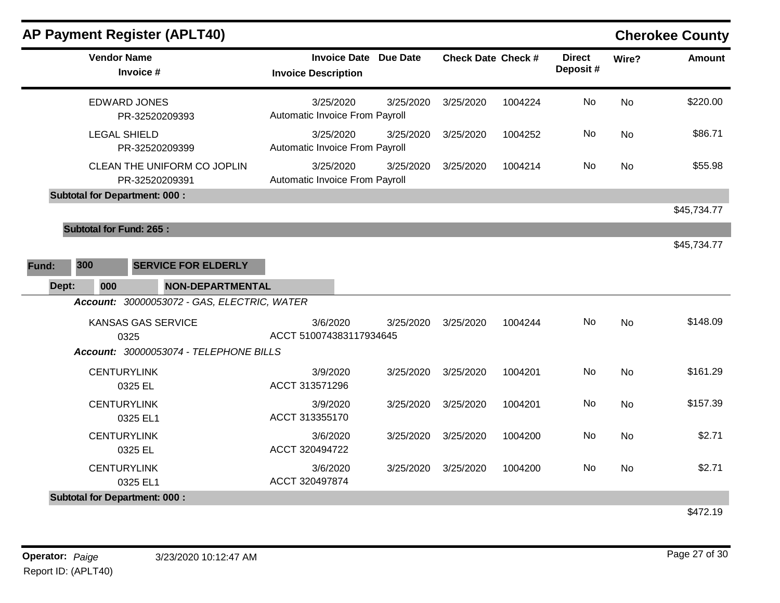| <b>AP Payment Register (APLT40)</b>           |                                                   |                 |                           |         |                           |           | <b>Cherokee County</b> |
|-----------------------------------------------|---------------------------------------------------|-----------------|---------------------------|---------|---------------------------|-----------|------------------------|
| <b>Vendor Name</b><br>Invoice #               | <b>Invoice Date</b><br><b>Invoice Description</b> | <b>Due Date</b> | <b>Check Date Check #</b> |         | <b>Direct</b><br>Deposit# | Wire?     | <b>Amount</b>          |
| <b>EDWARD JONES</b><br>PR-32520209393         | 3/25/2020<br>Automatic Invoice From Payroll       | 3/25/2020       | 3/25/2020                 | 1004224 | No                        | <b>No</b> | \$220.00               |
| <b>LEGAL SHIELD</b><br>PR-32520209399         | 3/25/2020<br>Automatic Invoice From Payroll       | 3/25/2020       | 3/25/2020                 | 1004252 | No                        | <b>No</b> | \$86.71                |
| CLEAN THE UNIFORM CO JOPLIN<br>PR-32520209391 | 3/25/2020<br>Automatic Invoice From Payroll       | 3/25/2020       | 3/25/2020                 | 1004214 | No                        | <b>No</b> | \$55.98                |
| <b>Subtotal for Department: 000:</b>          |                                                   |                 |                           |         |                           |           |                        |
| <b>Subtotal for Fund: 265:</b>                |                                                   |                 |                           |         |                           |           | \$45,734.77            |
|                                               |                                                   |                 |                           |         |                           |           | \$45,734.77            |
| 300<br><b>SERVICE FOR ELDERLY</b><br>Fund:    |                                                   |                 |                           |         |                           |           |                        |
| 000<br><b>NON-DEPARTMENTAL</b><br>Dept:       |                                                   |                 |                           |         |                           |           |                        |
| Account: 30000053072 - GAS, ELECTRIC, WATER   |                                                   |                 |                           |         |                           |           |                        |
| <b>KANSAS GAS SERVICE</b><br>0325             | 3/6/2020<br>ACCT 510074383117934645               | 3/25/2020       | 3/25/2020                 | 1004244 | No                        | <b>No</b> | \$148.09               |
| Account: 30000053074 - TELEPHONE BILLS        |                                                   |                 |                           |         |                           |           |                        |
| <b>CENTURYLINK</b><br>0325 EL                 | 3/9/2020<br>ACCT 313571296                        | 3/25/2020       | 3/25/2020                 | 1004201 | No                        | <b>No</b> | \$161.29               |
| <b>CENTURYLINK</b><br>0325 EL1                | 3/9/2020<br>ACCT 313355170                        | 3/25/2020       | 3/25/2020                 | 1004201 | No                        | <b>No</b> | \$157.39               |
| <b>CENTURYLINK</b><br>0325 EL                 | 3/6/2020<br>ACCT 320494722                        | 3/25/2020       | 3/25/2020                 | 1004200 | No                        | <b>No</b> | \$2.71                 |
| <b>CENTURYLINK</b><br>0325 EL1                | 3/6/2020<br>ACCT 320497874                        | 3/25/2020       | 3/25/2020                 | 1004200 | No                        | <b>No</b> | \$2.71                 |
| <b>Subtotal for Department: 000:</b>          |                                                   |                 |                           |         |                           |           |                        |
|                                               |                                                   |                 |                           |         |                           |           | \$472.19               |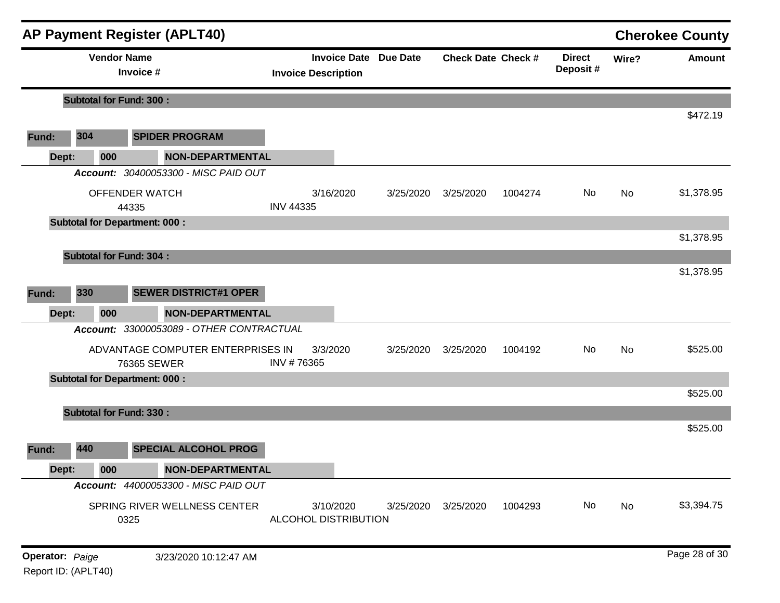|       |                                                                                                                                                                                                                                                                                                                                                                                                                                                                                                                                                                                                                                                                                                                                                                                                                                                                                                                                                        |     |                                      |                                   |           |           |         | <b>Direct</b><br>Deposit# | Wire? | <b>Amount</b> |
|-------|--------------------------------------------------------------------------------------------------------------------------------------------------------------------------------------------------------------------------------------------------------------------------------------------------------------------------------------------------------------------------------------------------------------------------------------------------------------------------------------------------------------------------------------------------------------------------------------------------------------------------------------------------------------------------------------------------------------------------------------------------------------------------------------------------------------------------------------------------------------------------------------------------------------------------------------------------------|-----|--------------------------------------|-----------------------------------|-----------|-----------|---------|---------------------------|-------|---------------|
|       | <b>AP Payment Register (APLT40)</b><br><b>Cherokee County</b><br><b>Vendor Name</b><br><b>Invoice Date Due Date</b><br><b>Check Date Check #</b><br>Invoice #<br><b>Invoice Description</b><br><b>Subtotal for Fund: 300:</b><br>\$472.19<br>304<br><b>SPIDER PROGRAM</b><br><b>NON-DEPARTMENTAL</b><br>000<br>Account: 30400053300 - MISC PAID OUT<br>No<br>\$1,378.95<br>OFFENDER WATCH<br>3/16/2020<br>No<br>3/25/2020<br>3/25/2020<br>1004274<br><b>INV 44335</b><br>44335<br><b>Subtotal for Department: 000:</b><br>\$1,378.95<br><b>Subtotal for Fund: 304:</b><br>\$1,378.95<br>330<br><b>SEWER DISTRICT#1 OPER</b><br><b>NON-DEPARTMENTAL</b><br>000<br>Account: 33000053089 - OTHER CONTRACTUAL<br>\$525.00<br>ADVANTAGE COMPUTER ENTERPRISES IN<br>3/3/2020<br>No<br>No<br>3/25/2020<br>3/25/2020<br>1004192<br>INV #76365<br>76365 SEWER<br><b>Subtotal for Department: 000:</b><br>\$525.00<br><b>Subtotal for Fund: 330:</b><br>\$525.00 |     |                                      |                                   |           |           |         |                           |       |               |
| Fund: |                                                                                                                                                                                                                                                                                                                                                                                                                                                                                                                                                                                                                                                                                                                                                                                                                                                                                                                                                        |     |                                      |                                   |           |           |         |                           |       |               |
| Dept: |                                                                                                                                                                                                                                                                                                                                                                                                                                                                                                                                                                                                                                                                                                                                                                                                                                                                                                                                                        |     |                                      |                                   |           |           |         |                           |       |               |
|       |                                                                                                                                                                                                                                                                                                                                                                                                                                                                                                                                                                                                                                                                                                                                                                                                                                                                                                                                                        |     |                                      |                                   |           |           |         |                           |       |               |
|       |                                                                                                                                                                                                                                                                                                                                                                                                                                                                                                                                                                                                                                                                                                                                                                                                                                                                                                                                                        |     |                                      |                                   |           |           |         |                           |       |               |
|       |                                                                                                                                                                                                                                                                                                                                                                                                                                                                                                                                                                                                                                                                                                                                                                                                                                                                                                                                                        |     |                                      |                                   |           |           |         |                           |       |               |
|       |                                                                                                                                                                                                                                                                                                                                                                                                                                                                                                                                                                                                                                                                                                                                                                                                                                                                                                                                                        |     |                                      |                                   |           |           |         |                           |       |               |
|       |                                                                                                                                                                                                                                                                                                                                                                                                                                                                                                                                                                                                                                                                                                                                                                                                                                                                                                                                                        |     |                                      |                                   |           |           |         |                           |       |               |
|       |                                                                                                                                                                                                                                                                                                                                                                                                                                                                                                                                                                                                                                                                                                                                                                                                                                                                                                                                                        |     |                                      |                                   |           |           |         |                           |       |               |
| Fund: |                                                                                                                                                                                                                                                                                                                                                                                                                                                                                                                                                                                                                                                                                                                                                                                                                                                                                                                                                        |     |                                      |                                   |           |           |         |                           |       |               |
| Dept: |                                                                                                                                                                                                                                                                                                                                                                                                                                                                                                                                                                                                                                                                                                                                                                                                                                                                                                                                                        |     |                                      |                                   |           |           |         |                           |       |               |
|       |                                                                                                                                                                                                                                                                                                                                                                                                                                                                                                                                                                                                                                                                                                                                                                                                                                                                                                                                                        |     |                                      |                                   |           |           |         |                           |       |               |
|       |                                                                                                                                                                                                                                                                                                                                                                                                                                                                                                                                                                                                                                                                                                                                                                                                                                                                                                                                                        |     |                                      |                                   |           |           |         |                           |       |               |
|       |                                                                                                                                                                                                                                                                                                                                                                                                                                                                                                                                                                                                                                                                                                                                                                                                                                                                                                                                                        |     |                                      |                                   |           |           |         |                           |       |               |
|       |                                                                                                                                                                                                                                                                                                                                                                                                                                                                                                                                                                                                                                                                                                                                                                                                                                                                                                                                                        |     |                                      |                                   |           |           |         |                           |       |               |
|       |                                                                                                                                                                                                                                                                                                                                                                                                                                                                                                                                                                                                                                                                                                                                                                                                                                                                                                                                                        |     |                                      |                                   |           |           |         |                           |       |               |
|       |                                                                                                                                                                                                                                                                                                                                                                                                                                                                                                                                                                                                                                                                                                                                                                                                                                                                                                                                                        |     |                                      |                                   |           |           |         |                           |       |               |
| Fund: | 440                                                                                                                                                                                                                                                                                                                                                                                                                                                                                                                                                                                                                                                                                                                                                                                                                                                                                                                                                    |     | <b>SPECIAL ALCOHOL PROG</b>          |                                   |           |           |         |                           |       |               |
| Dept: |                                                                                                                                                                                                                                                                                                                                                                                                                                                                                                                                                                                                                                                                                                                                                                                                                                                                                                                                                        | 000 | <b>NON-DEPARTMENTAL</b>              |                                   |           |           |         |                           |       |               |
|       |                                                                                                                                                                                                                                                                                                                                                                                                                                                                                                                                                                                                                                                                                                                                                                                                                                                                                                                                                        |     | Account: 44000053300 - MISC PAID OUT |                                   |           |           |         |                           |       |               |
|       |                                                                                                                                                                                                                                                                                                                                                                                                                                                                                                                                                                                                                                                                                                                                                                                                                                                                                                                                                        |     | SPRING RIVER WELLNESS CENTER<br>0325 | 3/10/2020<br>ALCOHOL DISTRIBUTION | 3/25/2020 | 3/25/2020 | 1004293 | No                        | No    | \$3,394.75    |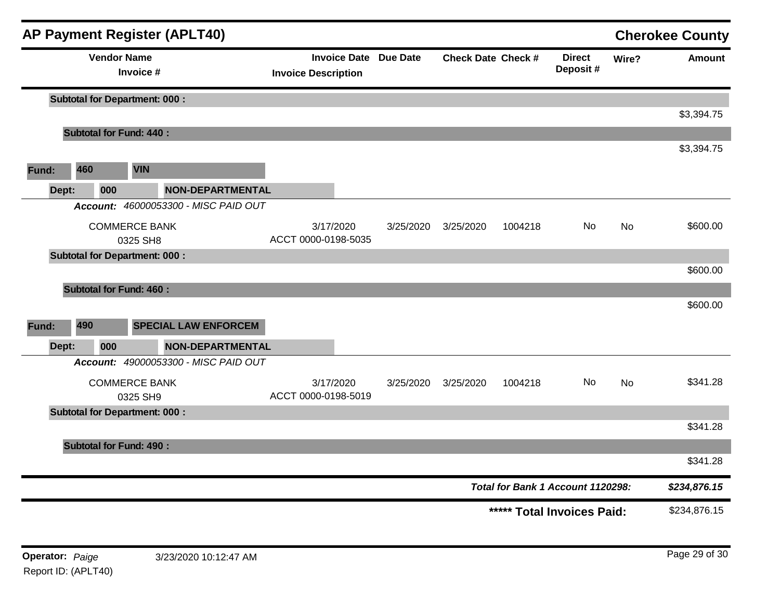|       |                                      |                                  | <b>AP Payment Register (APLT40)</b>  |                                                                                                                                                                                                                                                                                                                                                                                       |                            |  |                            |       |              |
|-------|--------------------------------------|----------------------------------|--------------------------------------|---------------------------------------------------------------------------------------------------------------------------------------------------------------------------------------------------------------------------------------------------------------------------------------------------------------------------------------------------------------------------------------|----------------------------|--|----------------------------|-------|--------------|
|       |                                      | <b>Vendor Name</b><br>Invoice #  |                                      |                                                                                                                                                                                                                                                                                                                                                                                       |                            |  | <b>Direct</b><br>Deposit # | Wire? | Amount       |
|       | <b>Subtotal for Department: 000:</b> |                                  |                                      |                                                                                                                                                                                                                                                                                                                                                                                       |                            |  |                            |       |              |
|       |                                      |                                  |                                      | <b>Cherokee County</b><br><b>Invoice Date Due Date</b><br><b>Check Date Check #</b><br><b>Invoice Description</b><br>3/17/2020<br>No<br>3/25/2020<br>3/25/2020<br>1004218<br><b>No</b><br>ACCT 0000-0198-5035<br>\$600.00<br><b>NON-DEPARTMENTAL</b><br>3/17/2020<br>No<br>3/25/2020<br>3/25/2020<br>1004218<br><b>No</b><br>ACCT 0000-0198-5019<br>Total for Bank 1 Account 1120298: | \$3,394.75                 |  |                            |       |              |
|       | <b>Subtotal for Fund: 440:</b>       |                                  |                                      |                                                                                                                                                                                                                                                                                                                                                                                       |                            |  |                            |       | \$3,394.75   |
| Fund: | 460                                  | <b>VIN</b>                       |                                      |                                                                                                                                                                                                                                                                                                                                                                                       |                            |  |                            |       |              |
| Dept: | 000                                  |                                  | NON-DEPARTMENTAL                     |                                                                                                                                                                                                                                                                                                                                                                                       |                            |  |                            |       |              |
|       |                                      |                                  | Account: 46000053300 - MISC PAID OUT |                                                                                                                                                                                                                                                                                                                                                                                       |                            |  |                            |       |              |
|       |                                      | <b>COMMERCE BANK</b><br>0325 SH8 |                                      |                                                                                                                                                                                                                                                                                                                                                                                       |                            |  |                            |       | \$600.00     |
|       | <b>Subtotal for Department: 000:</b> |                                  |                                      |                                                                                                                                                                                                                                                                                                                                                                                       | ***** Total Invoices Paid: |  |                            |       |              |
|       |                                      |                                  |                                      |                                                                                                                                                                                                                                                                                                                                                                                       |                            |  |                            |       | \$600.00     |
|       | <b>Subtotal for Fund: 460:</b>       |                                  |                                      |                                                                                                                                                                                                                                                                                                                                                                                       |                            |  |                            |       |              |
| Fund: | 490                                  |                                  | <b>SPECIAL LAW ENFORCEM</b>          |                                                                                                                                                                                                                                                                                                                                                                                       |                            |  |                            |       |              |
| Dept: | 000                                  |                                  |                                      |                                                                                                                                                                                                                                                                                                                                                                                       |                            |  |                            |       |              |
|       |                                      |                                  | Account: 49000053300 - MISC PAID OUT |                                                                                                                                                                                                                                                                                                                                                                                       |                            |  |                            |       |              |
|       |                                      | <b>COMMERCE BANK</b><br>0325 SH9 |                                      |                                                                                                                                                                                                                                                                                                                                                                                       |                            |  |                            |       | \$341.28     |
|       | <b>Subtotal for Department: 000:</b> |                                  |                                      |                                                                                                                                                                                                                                                                                                                                                                                       |                            |  |                            |       |              |
|       |                                      |                                  |                                      |                                                                                                                                                                                                                                                                                                                                                                                       |                            |  |                            |       | \$341.28     |
|       | <b>Subtotal for Fund: 490:</b>       |                                  |                                      |                                                                                                                                                                                                                                                                                                                                                                                       |                            |  |                            |       | \$341.28     |
|       |                                      |                                  |                                      |                                                                                                                                                                                                                                                                                                                                                                                       |                            |  |                            |       | \$234,876.15 |
|       |                                      |                                  |                                      |                                                                                                                                                                                                                                                                                                                                                                                       |                            |  |                            |       | \$234,876.15 |
|       |                                      |                                  |                                      |                                                                                                                                                                                                                                                                                                                                                                                       |                            |  |                            |       |              |